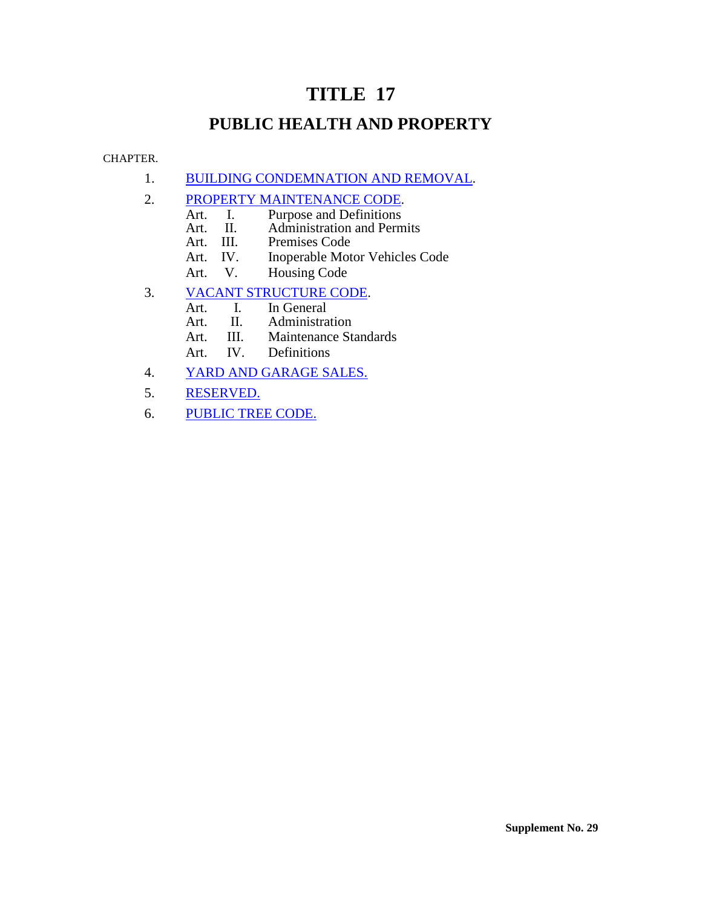# **TITLE 17**

# **PUBLIC HEALTH AND PROPERTY**

### CHAPTER.

1. [BUILDING CONDEMNATION AND REMOVAL.](#page-1-0)

# 2. [PROPERTY MAINTENANCE CODE.](#page-7-0)<br>Art. I. Purpose and Definitions

- Art. I. Purpose and Definitions<br>Art. II. Administration and Perm
- Art. II. Administration and Permits<br>Art. III. Premises Code
- Premises Code
- Art. IV. Inoperable Motor Vehicles Code
- Art. V. Housing Code
- 3. [VACANT STRUCTURE CODE.](#page-27-0)
	- Art. I. In General<br>Art. II. Administra
	- Administration
	- Art. III. Maintenance Standards
	- Art. IV. Definitions
- 4. [YARD AND GARAGE SALES.](#page-35-0)
- 5. [RESERVED.](#page-37-0)
- 6. [PUBLIC TREE CODE.](#page-39-0)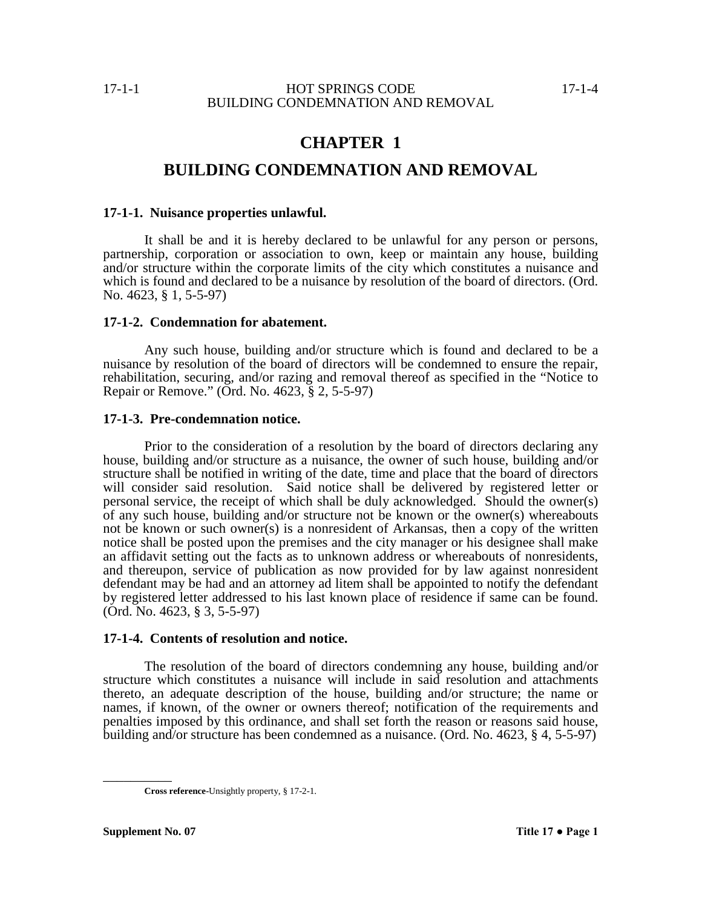#### 17-1-1 **HOT SPRINGS CODE** 17-1-4 BUILDING CONDEMNATION AND REMOVAL

# **CHAPTER 1**

### **BUILDING CONDEMNATION AND REMOVAL**

#### <span id="page-1-0"></span>**17-1-1. Nuisance properties unlawful.**

It shall be and it is hereby declared to be unlawful for any person or persons, partnership, corporation or association to own, keep or maintain any house, building and/or structure within the corporate limits of the city which constitutes a nuisance and which is found and declared to be a nuisance by resolution of the board of directors. (Ord. No. 4623, § 1, 5-5-97)

#### **17-1-2. Condemnation for abatement.**

Any such house, building and/or structure which is found and declared to be a nuisance by resolution of the board of directors will be condemned to ensure the repair, rehabilitation, securing, and/or razing and removal thereof as specified in the "Notice to Repair or Remove." (Ord. No. 4623, § 2, 5-5-97)

#### **17-1-3. Pre-condemnation notice.**

Prior to the consideration of a resolution by the board of directors declaring any house, building and/or structure as a nuisance, the owner of such house, building and/or structure shall be notified in writing of the date, time and place that the board of directors will consider said resolution. Said notice shall be delivered by registered letter or personal service, the receipt of which shall be duly acknowledged. Should the owner(s) of any such house, building and/or structure not be known or the owner(s) whereabouts not be known or such owner(s) is a nonresident of Arkansas, then a copy of the written notice shall be posted upon the premises and the city manager or his designee shall make an affidavit setting out the facts as to unknown address or whereabouts of nonresidents, and thereupon, service of publication as now provided for by law against nonresident defendant may be had and an attorney ad litem shall be appointed to notify the defendant by registered letter addressed to his last known place of residence if same can be found. (Ord. No. 4623, § 3, 5-5-97)

#### **17-1-4. Contents of resolution and notice.**

The resolution of the board of directors condemning any house, building and/or structure which constitutes a nuisance will include in said resolution and attachments thereto, an adequate description of the house, building and/or structure; the name or names, if known, of the owner or owners thereof; notification of the requirements and penalties imposed by this ordinance, and shall set forth the reason or reasons said house, building and/or structure has been condemned as a nuisance. (Ord. No. 4623, § 4, 5-5-97)

\_\_\_\_\_\_\_\_\_\_

**Cross reference-**Unsightly property, § 17-2-1.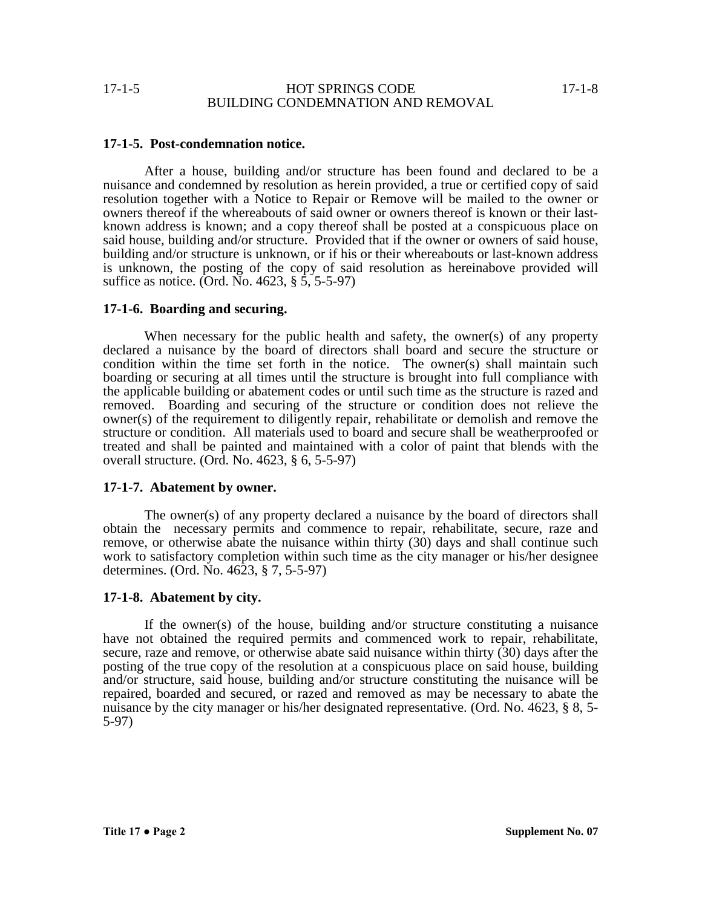After a house, building and/or structure has been found and declared to be a nuisance and condemned by resolution as herein provided, a true or certified copy of said resolution together with a Notice to Repair or Remove will be mailed to the owner or owners thereof if the whereabouts of said owner or owners thereof is known or their lastknown address is known; and a copy thereof shall be posted at a conspicuous place on said house, building and/or structure. Provided that if the owner or owners of said house, building and/or structure is unknown, or if his or their whereabouts or last-known address is unknown, the posting of the copy of said resolution as hereinabove provided will suffice as notice. (Ord. No. 4623, § 5, 5-5-97)

#### **17-1-6. Boarding and securing.**

When necessary for the public health and safety, the owner(s) of any property declared a nuisance by the board of directors shall board and secure the structure or condition within the time set forth in the notice. The owner(s) shall maintain such boarding or securing at all times until the structure is brought into full compliance with the applicable building or abatement codes or until such time as the structure is razed and removed. Boarding and securing of the structure or condition does not relieve the owner(s) of the requirement to diligently repair, rehabilitate or demolish and remove the structure or condition. All materials used to board and secure shall be weatherproofed or treated and shall be painted and maintained with a color of paint that blends with the overall structure. (Ord. No. 4623, § 6, 5-5-97)

#### **17-1-7. Abatement by owner.**

The owner(s) of any property declared a nuisance by the board of directors shall obtain the necessary permits and commence to repair, rehabilitate, secure, raze and remove, or otherwise abate the nuisance within thirty (30) days and shall continue such work to satisfactory completion within such time as the city manager or his/her designee determines. (Ord. No. 4623, § 7, 5-5-97)

#### **17-1-8. Abatement by city.**

If the owner(s) of the house, building and/or structure constituting a nuisance have not obtained the required permits and commenced work to repair, rehabilitate, secure, raze and remove, or otherwise abate said nuisance within thirty (30) days after the posting of the true copy of the resolution at a conspicuous place on said house, building and/or structure, said house, building and/or structure constituting the nuisance will be repaired, boarded and secured, or razed and removed as may be necessary to abate the nuisance by the city manager or his/her designated representative. (Ord. No. 4623, § 8, 5-<br>5-97)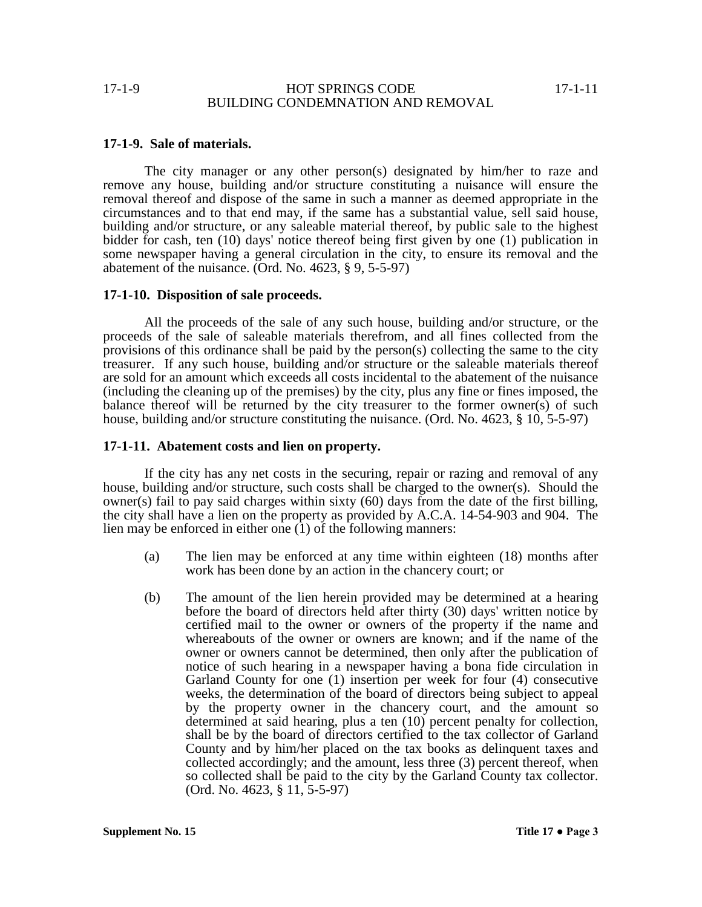#### 17-1-9 **HOT SPRINGS CODE** 17-1-11 BUILDING CONDEMNATION AND REMOVAL

#### **17-1-9. Sale of materials.**

The city manager or any other person(s) designated by him/her to raze and remove any house, building and/or structure constituting a nuisance will ensure the removal thereof and dispose of the same in such a manner as deemed appropriate in the circumstances and to that end may, if the same has a substantial value, sell said house, building and/or structure, or any saleable material thereof, by public sale to the highest bidder for cash, ten (10) days' notice thereof being first given by one (1) publication in some newspaper having a general circulation in the city, to ensure its removal and the abatement of the nuisance. (Ord. No. 4623, § 9, 5-5-97)

#### **17-1-10. Disposition of sale proceeds.**

All the proceeds of the sale of any such house, building and/or structure, or the proceeds of the sale of saleable materials therefrom, and all fines collected from the provisions of this ordinance shall be paid by the person(s) collecting the same to the city treasurer. If any such house, building and/or structure or the saleable materials thereof are sold for an amount which exceeds all costs incidental to the abatement of the nuisance (including the cleaning up of the premises) by the city, plus any fine or fines imposed, the balance thereof will be returned by the city treasurer to the former owner(s) of such house, building and/or structure constituting the nuisance. (Ord. No. 4623, § 10, 5-5-97)

#### **17-1-11. Abatement costs and lien on property.**

If the city has any net costs in the securing, repair or razing and removal of any house, building and/or structure, such costs shall be charged to the owner(s). Should the owner(s) fail to pay said charges within sixty  $(60)$  days from the date of the first billing, the city shall have a lien on the property as provided by A.C.A. 14-54-903 and 904. The lien may be enforced in either one (1) of the following manners:

- (a) The lien may be enforced at any time within eighteen (18) months after work has been done by an action in the chancery court; or
- (b) The amount of the lien herein provided may be determined at a hearing before the board of directors held after thirty (30) days' written notice by certified mail to the owner or owners of the property if the name and whereabouts of the owner or owners are known; and if the name of the owner or owners cannot be determined, then only after the publication of notice of such hearing in a newspaper having a bona fide circulation in Garland County for one (1) insertion per week for four (4) consecutive weeks, the determination of the board of directors being subject to appeal by the property owner in the chancery court, and the amount so determined at said hearing, plus a ten (10) percent penalty for collection, shall be by the board of directors certified to the tax collector of Garland County and by him/her placed on the tax books as delinquent taxes and collected accordingly; and the amount, less three (3) percent thereof, when so collected shall be paid to the city by the Garland County tax collector. (Ord. No. 4623, § 11, 5-5-97)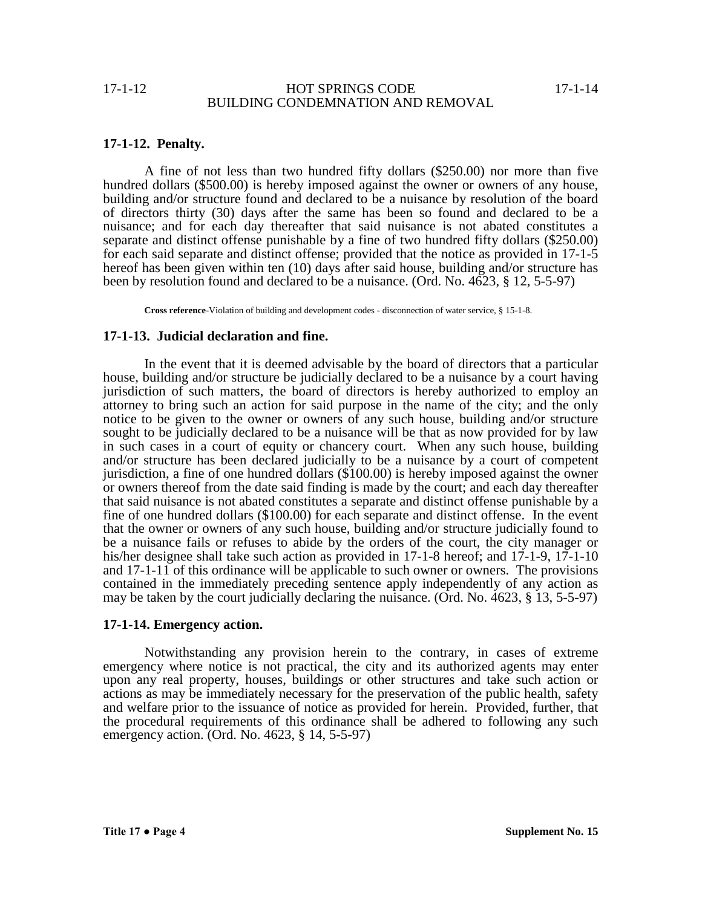#### 17-1-12 **HOT SPRINGS CODE** 17-1-14 BUILDING CONDEMNATION AND REMOVAL

#### **17-1-12. Penalty.**

A fine of not less than two hundred fifty dollars (\$250.00) nor more than five hundred dollars (\$500.00) is hereby imposed against the owner or owners of any house, building and/or structure found and declared to be a nuisance by resolution of the board of directors thirty (30) days after the same has been so found and declared to be a nuisance; and for each day thereafter that said nuisance is not abated constitutes a separate and distinct offense punishable by a fine of two hundred fifty dollars (\$250.00) for each said separate and distinct offense; provided that the notice as provided in 17-1-5 hereof has been given within ten (10) days after said house, building and/or structure has been by resolution found and declared to be a nuisance. (Ord. No. 4623, § 12, 5-5-97)

**Cross reference**-Violation of building and development codes - disconnection of water service, § 15-1-8.

#### **17-1-13. Judicial declaration and fine.**

In the event that it is deemed advisable by the board of directors that a particular house, building and/or structure be judicially declared to be a nuisance by a court having jurisdiction of such matters, the board of directors is hereby authorized to employ an attorney to bring such an action for said purpose in the name of the city; and the only notice to be given to the owner or owners of any such house, building and/or structure sought to be judicially declared to be a nuisance will be that as now provided for by law in such cases in a court of equity or chancery court. When any such house, building and/or structure has been declared judicially to be a nuisance by a court of competent jurisdiction, a fine of one hundred dollars (\$100.00) is hereby imposed against the owner or owners thereof from the date said finding is made by the court; and each day thereafter that said nuisance is not abated constitutes a separate and distinct offense punishable by a fine of one hundred dollars (\$100.00) for each separate and distinct offense. In the event that the owner or owners of any such house, building and/or structure judicially found to be a nuisance fails or refuses to abide by the orders of the court, the city manager or his/her designee shall take such action as provided in 17-1-8 hereof; and 17-1-9, 17-1-10 and 17-1-11 of this ordinance will be applicable to such owner or owners. The provisions contained in the immediately preceding sentence apply independently of any action as may be taken by the court judicially declaring the nuisance. (Ord. No. 4623, § 13, 5-5-97)

#### **17-1-14. Emergency action.**

Notwithstanding any provision herein to the contrary, in cases of extreme emergency where notice is not practical, the city and its authorized agents may enter upon any real property, houses, buildings or other structures and take such action or actions as may be immediately necessary for the preservation of the public health, safety and welfare prior to the issuance of notice as provided for herein. Provided, further, that the procedural requirements of this ordinance shall be adhered to following any such emergency action. (Ord. No. 4623, § 14, 5-5-97)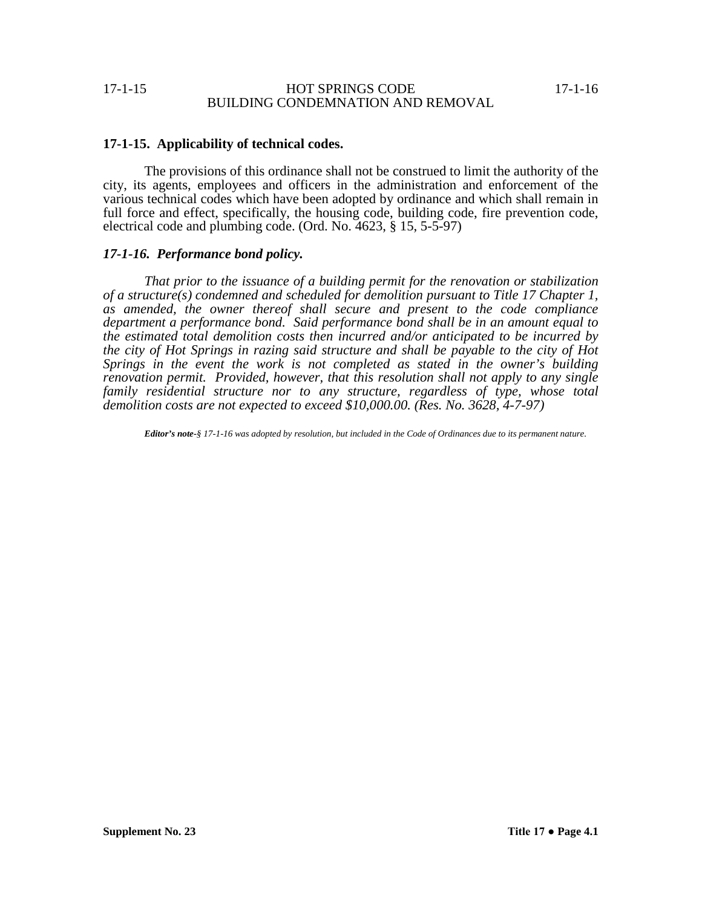#### 17-1-15 **HOT SPRINGS CODE** 17-1-16 BUILDING CONDEMNATION AND REMOVAL

#### **17-1-15. Applicability of technical codes.**

The provisions of this ordinance shall not be construed to limit the authority of the city, its agents, employees and officers in the administration and enforcement of the various technical codes which have been adopted by ordinance and which shall remain in full force and effect, specifically, the housing code, building code, fire prevention code, electrical code and plumbing code. (Ord. No. 4623, § 15, 5-5-97)

### *17-1-16. Performance bond policy.*

*That prior to the issuance of a building permit for the renovation or stabilization of a structure(s) condemned and scheduled for demolition pursuant to Title 17 Chapter 1, as amended, the owner thereof shall secure and present to the code compliance department a performance bond. Said performance bond shall be in an amount equal to the estimated total demolition costs then incurred and/or anticipated to be incurred by the city of Hot Springs in razing said structure and shall be payable to the city of Hot Springs in the event the work is not completed as stated in the owner's building renovation permit. Provided, however, that this resolution shall not apply to any single family residential structure nor to any structure, regardless of type, whose total demolition costs are not expected to exceed \$10,000.00. (Res. No. 3628, 4-7-97)*

*Editor's note-§ 17-1-16 was adopted by resolution, but included in the Code of Ordinances due to its permanent nature.*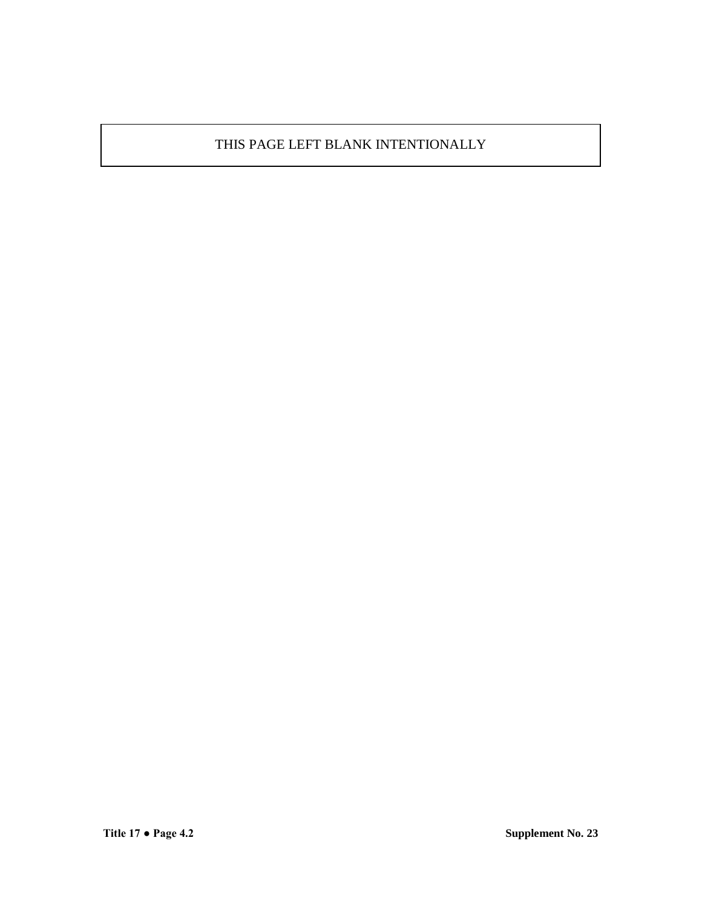# THIS PAGE LEFT BLANK INTENTIONALLY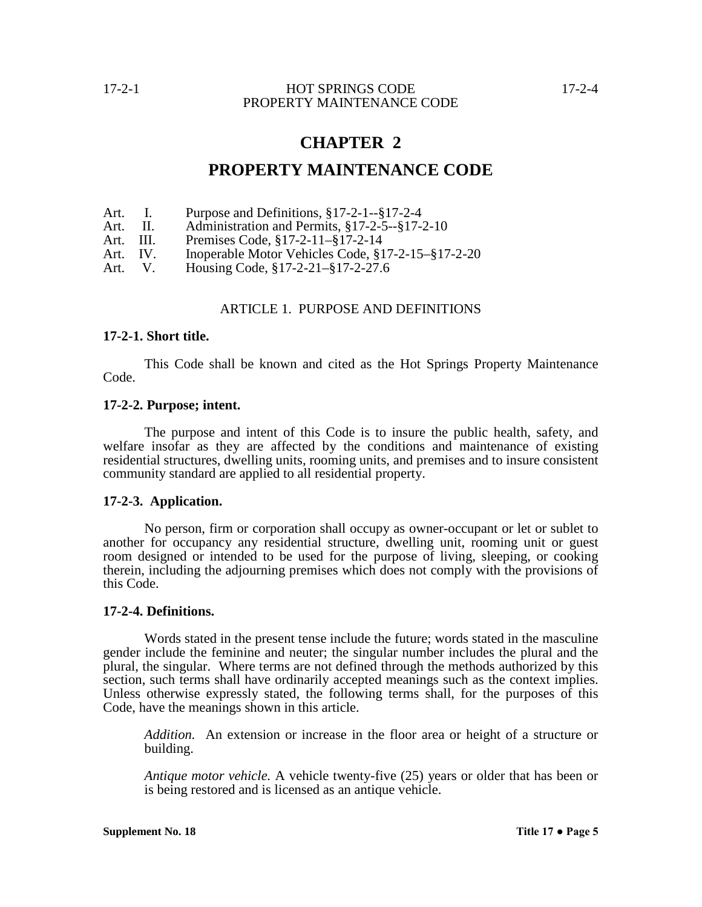# **CHAPTER 2**

# **PROPERTY MAINTENANCE CODE**

<span id="page-7-0"></span>

| Art. |  | Purpose and Definitions, $\S 17-2-1-\S 17-2-4$ |  |
|------|--|------------------------------------------------|--|
|------|--|------------------------------------------------|--|

Art. II. Administration and Permits, §17-2-5--§17-2-10<br>Art. III. Premises Code. 817-2-11-817-2-14

Art. III. Premises Code, §17-2-11–§17-2-14<br>Art. IV. Inoperable Motor Vehicles Code, §1

Art. IV. Inoperable Motor Vehicles Code, §17-2-15-§17-2-20<br>Art. V. Housing Code, §17-2-21-§17-2-27.6

Housing Code, §17-2-21–§17-2-27.6

#### ARTICLE 1. PURPOSE AND DEFINITIONS

#### **17-2-1. Short title.**

This Code shall be known and cited as the Hot Springs Property Maintenance Code.

#### **17-2-2. Purpose; intent.**

The purpose and intent of this Code is to insure the public health, safety, and welfare insofar as they are affected by the conditions and maintenance of existing residential structures, dwelling units, rooming units, and premises and to insure consistent community standard are applied to all residential property.

#### **17-2-3. Application.**

No person, firm or corporation shall occupy as owner-occupant or let or sublet to another for occupancy any residential structure, dwelling unit, rooming unit or guest room designed or intended to be used for the purpose of living, sleeping, or cooking therein, including the adjourning premises which does not comply with the provisions of this Code.

#### **17-2-4. Definitions.**

Words stated in the present tense include the future; words stated in the masculine gender include the feminine and neuter; the singular number includes the plural and the plural, the singular. Where terms are not defined through the methods authorized by this section, such terms shall have ordinarily accepted meanings such as the context implies. Unless otherwise expressly stated, the following terms shall, for the purposes of this Code, have the meanings shown in this article.

*Addition.* An extension or increase in the floor area or height of a structure or building.

*Antique motor vehicle.* A vehicle twenty-five (25) years or older that has been or is being restored and is licensed as an antique vehicle.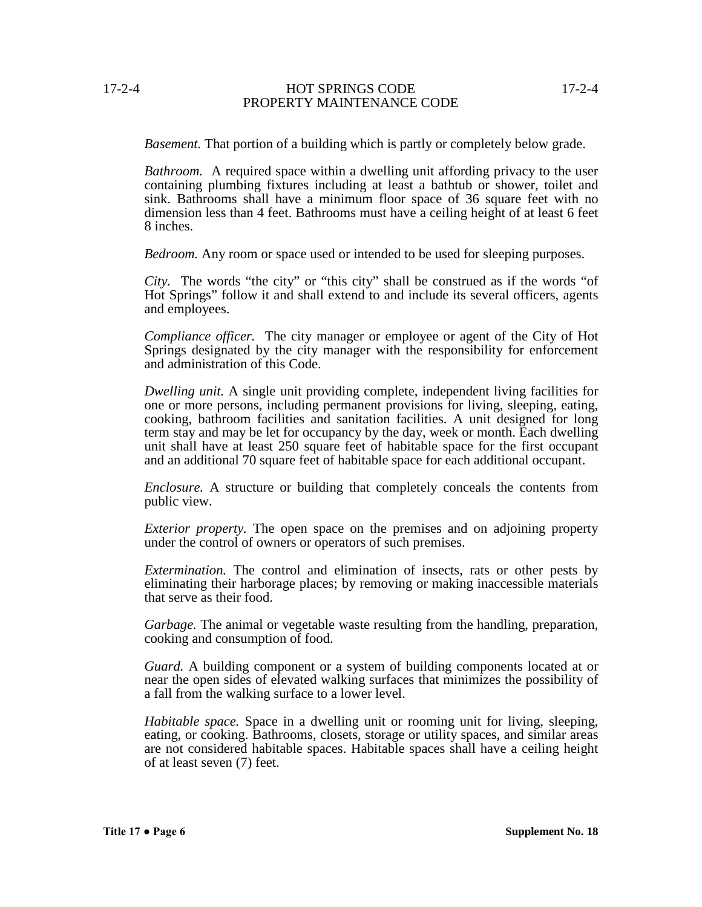#### 17-2-4 HOT SPRINGS CODE 17-2-4 PROPERTY MAINTENANCE CODE

*Basement.* That portion of a building which is partly or completely below grade.

*Bathroom.* A required space within a dwelling unit affording privacy to the user containing plumbing fixtures including at least a bathtub or shower, toilet and sink. Bathrooms shall have a minimum floor space of 36 square feet with no dimension less than 4 feet. Bathrooms must have a ceiling height of at least 6 feet 8 inches.

*Bedroom.* Any room or space used or intended to be used for sleeping purposes.

*City.* The words "the city" or "this city" shall be construed as if the words "of Hot Springs" follow it and shall extend to and include its several officers, agents and employees.

*Compliance officer.* The city manager or employee or agent of the City of Hot Springs designated by the city manager with the responsibility for enforcement and administration of this Code.

*Dwelling unit.* A single unit providing complete, independent living facilities for one or more persons, including permanent provisions for living, sleeping, eating, cooking, bathroom facilities and sanitation facilities. A unit designed for long term stay and may be let for occupancy by the day, week or month. Each dwelling unit shall have at least 250 square feet of habitable space for the first occupant and an additional 70 square feet of habitable space for each additional occupant.

*Enclosure.* A structure or building that completely conceals the contents from public view.

*Exterior property.* The open space on the premises and on adjoining property under the control of owners or operators of such premises.

*Extermination.* The control and elimination of insects, rats or other pests by eliminating their harborage places; by removing or making inaccessible materials that serve as their food.

*Garbage.* The animal or vegetable waste resulting from the handling, preparation, cooking and consumption of food.

*Guard.* A building component or a system of building components located at or near the open sides of elevated walking surfaces that minimizes the possibility of a fall from the walking surface to a lower level.

*Habitable space.* Space in a dwelling unit or rooming unit for living, sleeping, eating, or cooking. Bathrooms, closets, storage or utility spaces, and similar areas are not considered habitable spaces. Habitable spaces shall have a ceiling height of at least seven (7) feet.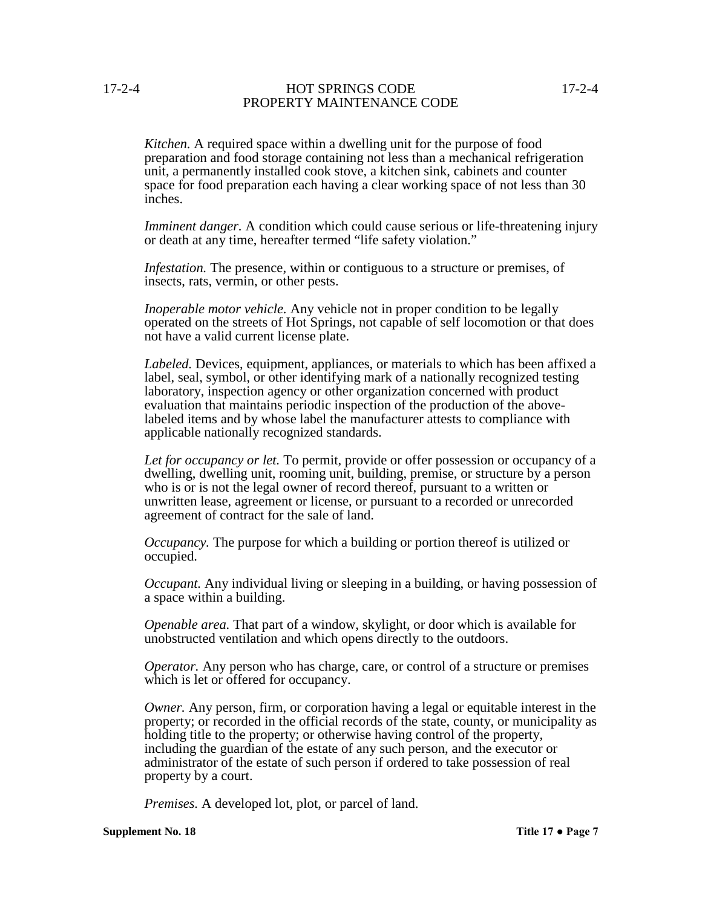#### 17-2-4 **HOT SPRINGS CODE** 17-2-4 PROPERTY MAINTENANCE CODE

*Kitchen.* A required space within a dwelling unit for the purpose of food preparation and food storage containing not less than a mechanical refrigeration unit, a permanently installed cook stove, a kitchen sink, cabinets and counter space for food preparation each having a clear working space of not less than 30 inches.

*Imminent danger.* A condition which could cause serious or life-threatening injury or death at any time, hereafter termed "life safety violation."

*Infestation.* The presence, within or contiguous to a structure or premises, of insects, rats, vermin, or other pests.

*Inoperable motor vehicle.* Any vehicle not in proper condition to be legally operated on the streets of Hot Springs, not capable of self locomotion or that does not have a valid current license plate.

*Labeled.* Devices, equipment, appliances, or materials to which has been affixed a label, seal, symbol, or other identifying mark of a nationally recognized testing laboratory, inspection agency or other organization concerned with product evaluation that maintains periodic inspection of the production of the above- labeled items and by whose label the manufacturer attests to compliance with applicable nationally recognized standards.

*Let for occupancy or let.* To permit, provide or offer possession or occupancy of a dwelling, dwelling unit, rooming unit, building, premise, or structure by a person who is or is not the legal owner of record thereof, pursuant to a written or unwritten lease, agreement or license, or pursuant to a recorded or unrecorded agreement of contract for the sale of land.

*Occupancy.* The purpose for which a building or portion thereof is utilized or occupied.

*Occupant.* Any individual living or sleeping in a building, or having possession of a space within a building.

*Openable area.* That part of a window, skylight, or door which is available for unobstructed ventilation and which opens directly to the outdoors.

*Operator.* Any person who has charge, care, or control of a structure or premises which is let or offered for occupancy.

*Owner.* Any person, firm, or corporation having a legal or equitable interest in the property; or recorded in the official records of the state, county, or municipality as holding title to the property; or otherwise having control of the property, including the guardian of the estate of any such person, and the executor or administrator of the estate of such person if ordered to take possession of real property by a court.

*Premises.* A developed lot, plot, or parcel of land.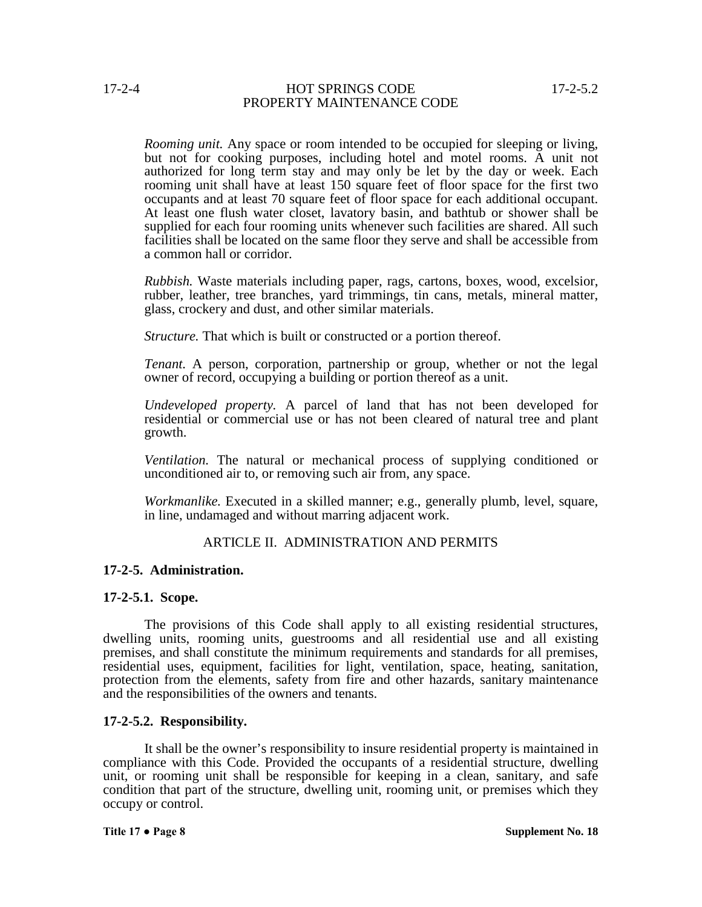*Rooming unit.* Any space or room intended to be occupied for sleeping or living, but not for cooking purposes, including hotel and motel rooms. A unit not authorized for long term stay and may only be let by the day or week. Each rooming unit shall have at least 150 square feet of floor space for the first two occupants and at least 70 square feet of floor space for each additional occupant. At least one flush water closet, lavatory basin, and bathtub or shower shall be supplied for each four rooming units whenever such facilities are shared. All such facilities shall be located on the same floor they serve and shall be accessible from a common hall or corridor.

*Rubbish.* Waste materials including paper, rags, cartons, boxes, wood, excelsior, rubber, leather, tree branches, yard trimmings, tin cans, metals, mineral matter, glass, crockery and dust, and other similar materials.

*Structure.* That which is built or constructed or a portion thereof.

*Tenant.* A person, corporation, partnership or group, whether or not the legal owner of record, occupying a building or portion thereof as a unit.

*Undeveloped property.* A parcel of land that has not been developed for residential or commercial use or has not been cleared of natural tree and plant growth.

*Ventilation.* The natural or mechanical process of supplying conditioned or unconditioned air to, or removing such air from, any space.

*Workmanlike.* Executed in a skilled manner; e.g., generally plumb, level, square, in line, undamaged and without marring adjacent work.

#### ARTICLE II. ADMINISTRATION AND PERMITS

#### **17-2-5. Administration.**

#### **17-2-5.1. Scope.**

The provisions of this Code shall apply to all existing residential structures, dwelling units, rooming units, guestrooms and all residential use and all existing premises, and shall constitute the minimum requirements and standards for all premises, residential uses, equipment, facilities for light, ventilation, space, heating, sanitation, protection from the elements, safety from fire and other hazards, sanitary maintenance and the responsibilities of the owners and tenants.

#### **17-2-5.2. Responsibility.**

It shall be the owner's responsibility to insure residential property is maintained in compliance with this Code. Provided the occupants of a residential structure, dwelling unit, or rooming unit shall be responsible for keeping in a clean, sanitary, and safe condition that part of the structure, dwelling unit, rooming unit, or premises which they occupy or control.

**Title 17 ● Page 8 Supplement No. 18**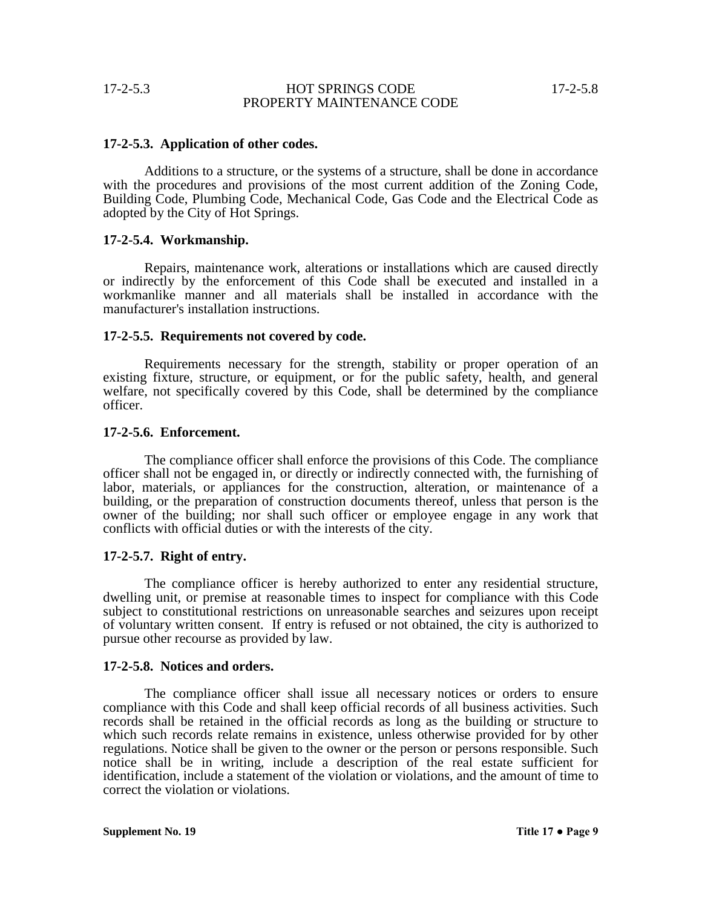#### **17-2-5.3. Application of other codes.**

Additions to a structure, or the systems of a structure, shall be done in accordance with the procedures and provisions of the most current addition of the Zoning Code, Building Code, Plumbing Code, Mechanical Code, Gas Code and the Electrical Code as adopted by the City of Hot Springs.

#### **17-2-5.4. Workmanship.**

Repairs, maintenance work, alterations or installations which are caused directly or indirectly by the enforcement of this Code shall be executed and installed in a workmanlike manner and all materials shall be installed in accordance with the manufacturer's installation instructions.

#### **17-2-5.5. Requirements not covered by code.**

Requirements necessary for the strength, stability or proper operation of an existing fixture, structure, or equipment, or for the public safety, health, and general welfare, not specifically covered by this Code, shall be determined by the compliance officer.

#### **17-2-5.6. Enforcement.**

The compliance officer shall enforce the provisions of this Code. The compliance officer shall not be engaged in, or directly or indirectly connected with, the furnishing of labor, materials, or appliances for the construction, alteration, or maintenance of a building, or the preparation of construction documents thereof, unless that person is the owner of the building; nor shall such officer or employee engage in any work that conflicts with official duties or with the interests of the city.

#### **17-2-5.7. Right of entry.**

The compliance officer is hereby authorized to enter any residential structure, dwelling unit, or premise at reasonable times to inspect for compliance with this Code subject to constitutional restrictions on unreasonable searches and seizures upon receipt of voluntary written consent. If entry is refused or not obtained, the city is authorized to pursue other recourse as provided by law.

#### **17-2-5.8. Notices and orders.**

The compliance officer shall issue all necessary notices or orders to ensure compliance with this Code and shall keep official records of all business activities. Such records shall be retained in the official records as long as the building or structure to which such records relate remains in existence, unless otherwise provided for by other regulations. Notice shall be given to the owner or the person or persons responsible. Such notice shall be in writing, include a description of the real estate sufficient for identification, include a statement of the violation or violations, and the amount of time to correct the violation or violations.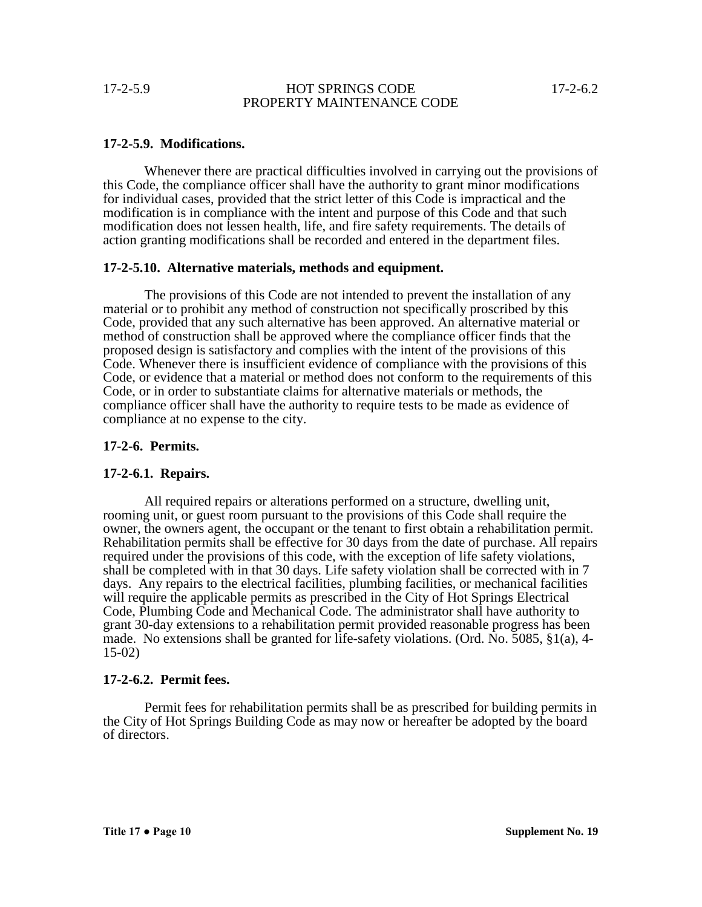#### **17-2-5.9. Modifications.**

Whenever there are practical difficulties involved in carrying out the provisions of this Code, the compliance officer shall have the authority to grant minor modifications for individual cases, provided that the strict letter of this Code is impractical and the modification is in compliance with the intent and purpose of this Code and that such modification does not lessen health, life, and fire safety requirements. The details of action granting modifications shall be recorded and entered in the department files.

#### **17-2-5.10. Alternative materials, methods and equipment.**

The provisions of this Code are not intended to prevent the installation of any material or to prohibit any method of construction not specifically proscribed by this Code, provided that any such alternative has been approved. An alternative material or method of construction shall be approved where the compliance officer finds that the proposed design is satisfactory and complies with the intent of the provisions of this Code. Whenever there is insufficient evidence of compliance with the provisions of this Code, or evidence that a material or method does not conform to the requirements of this Code, or in order to substantiate claims for alternative materials or methods, the compliance officer shall have the authority to require tests to be made as evidence of compliance at no expense to the city.

#### **17-2-6. Permits.**

#### **17-2-6.1. Repairs.**

All required repairs or alterations performed on a structure, dwelling unit, rooming unit, or guest room pursuant to the provisions of this Code shall require the owner, the owners agent, the occupant or the tenant to first obtain a rehabilitation permit. Rehabilitation permits shall be effective for 30 days from the date of purchase. All repairs required under the provisions of this code, with the exception of life safety violations, shall be completed with in that 30 days. Life safety violation shall be corrected with in 7 days. Any repairs to the electrical facilities, plumbing facilities, or mechanical facilities will require the applicable permits as prescribed in the City of Hot Springs Electrical Code, Plumbing Code and Mechanical Code. The administrator shall have authority to grant 30-day extensions to a rehabilitation permit provided reasonable progress has been made. No extensions shall be granted for life-safety violations. (Ord. No. 5085, §1(a), 4- 15-02)

#### **17-2-6.2. Permit fees.**

Permit fees for rehabilitation permits shall be as prescribed for building permits in the City of Hot Springs Building Code as may now or hereafter be adopted by the board of directors.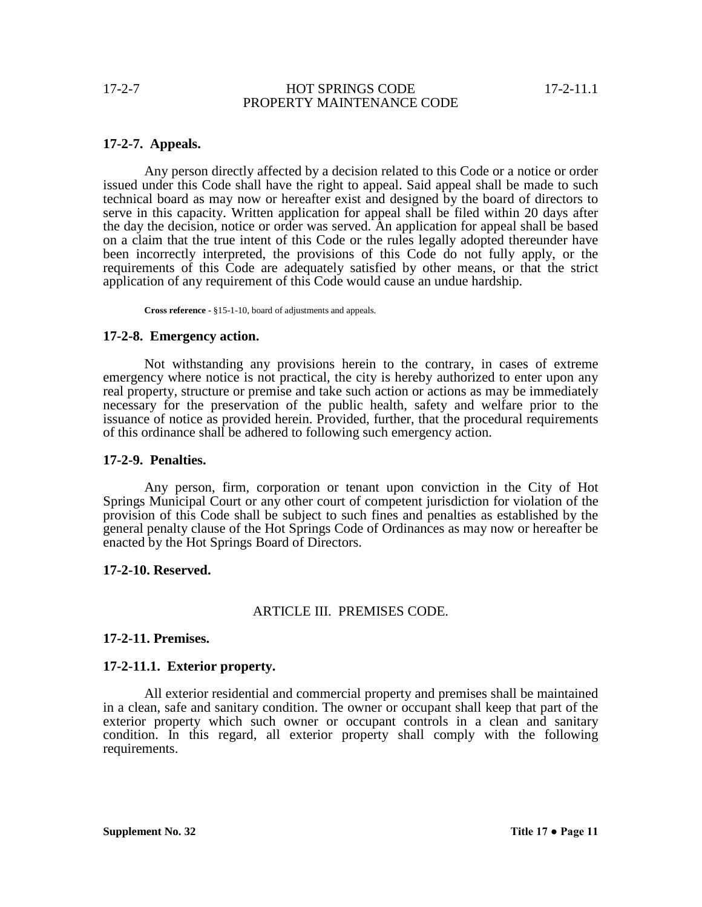#### 17-2-7 **HOT SPRINGS CODE** 17-2-11.1 PROPERTY MAINTENANCE CODE

#### **17-2-7. Appeals.**

Any person directly affected by a decision related to this Code or a notice or order issued under this Code shall have the right to appeal. Said appeal shall be made to such technical board as may now or hereafter exist and designed by the board of directors to serve in this capacity. Written application for appeal shall be filed within 20 days after the day the decision, notice or order was served. An application for appeal shall be based on a claim that the true intent of this Code or the rules legally adopted thereunder have been incorrectly interpreted, the provisions of this Code do not fully apply, or the requirements of this Code are adequately satisfied by other means, or that the strict application of any requirement of this Code would cause an undue hardship.

**Cross reference -** §15-1-10, board of adjustments and appeals.

#### **17-2-8. Emergency action.**

Not withstanding any provisions herein to the contrary, in cases of extreme emergency where notice is not practical, the city is hereby authorized to enter upon any real property, structure or premise and take such action or actions as may be immediately necessary for the preservation of the public health, safety and welfare prior to the issuance of notice as provided herein. Provided, further, that the procedural requirements of this ordinance shall be adhered to following such emergency action.

#### **17-2-9. Penalties.**

Any person, firm, corporation or tenant upon conviction in the City of Hot Springs Municipal Court or any other court of competent jurisdiction for violation of the provision of this Code shall be subject to such fines and penalties as established by the general penalty clause of the Hot Springs Code of Ordinances as may now or hereafter be enacted by the Hot Springs Board of Directors.

#### **17-2-10. Reserved.**

#### ARTICLE III. PREMISES CODE.

#### **17-2-11. Premises.**

#### **17-2-11.1. Exterior property.**

All exterior residential and commercial property and premises shall be maintained in a clean, safe and sanitary condition. The owner or occupant shall keep that part of the exterior property which such owner or occupant controls in a clean and sanitary condition. In this regard, all exterior property shall comply with the following requirements.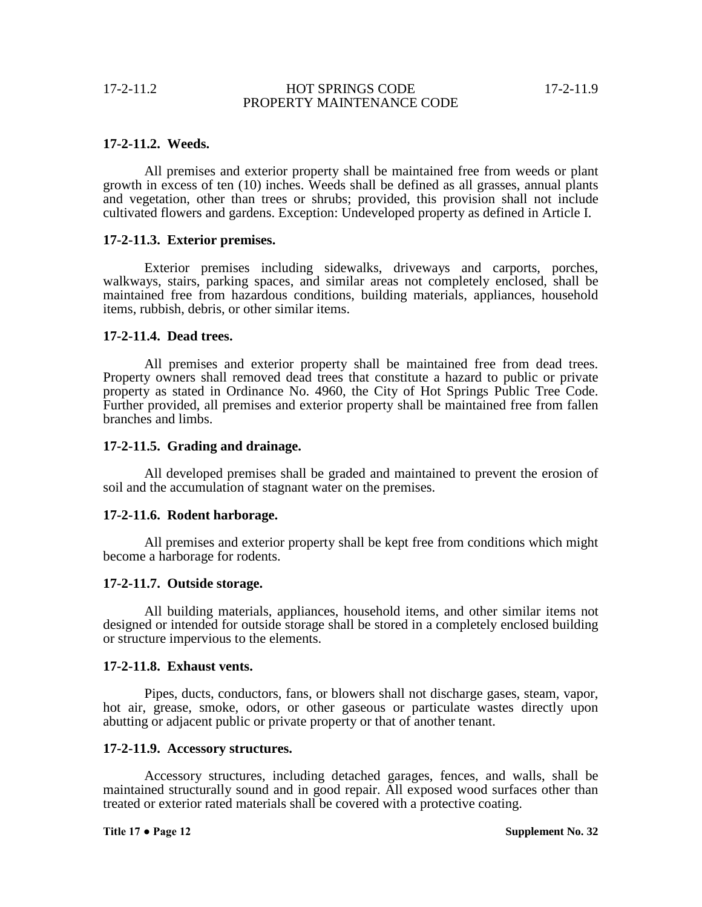#### 17-2-11.2 HOT SPRINGS CODE 17-2-11.9 PROPERTY MAINTENANCE CODE

#### **17-2-11.2. Weeds.**

All premises and exterior property shall be maintained free from weeds or plant growth in excess of ten (10) inches. Weeds shall be defined as all grasses, annual plants and vegetation, other than trees or shrubs; provided, this provision shall not include cultivated flowers and gardens. Exception: Undeveloped property as defined in Article I.

#### **17-2-11.3. Exterior premises.**

Exterior premises including sidewalks, driveways and carports, porches, walkways, stairs, parking spaces, and similar areas not completely enclosed, shall be maintained free from hazardous conditions, building materials, appliances, household items, rubbish, debris, or other similar items.

#### **17-2-11.4. Dead trees.**

All premises and exterior property shall be maintained free from dead trees. Property owners shall removed dead trees that constitute a hazard to public or private property as stated in Ordinance No. 4960, the City of Hot Springs Public Tree Code. Further provided, all premises and exterior property shall be maintained free from fallen branches and limbs.

#### **17-2-11.5. Grading and drainage.**

All developed premises shall be graded and maintained to prevent the erosion of soil and the accumulation of stagnant water on the premises.

#### **17-2-11.6. Rodent harborage.**

All premises and exterior property shall be kept free from conditions which might become a harborage for rodents.

#### **17-2-11.7. Outside storage.**

All building materials, appliances, household items, and other similar items not designed or intended for outside storage shall be stored in a completely enclosed building or structure impervious to the elements.

#### **17-2-11.8. Exhaust vents.**

Pipes, ducts, conductors, fans, or blowers shall not discharge gases, steam, vapor, hot air, grease, smoke, odors, or other gaseous or particulate wastes directly upon abutting or adjacent public or private property or that of another tenant.

#### **17-2-11.9. Accessory structures.**

Accessory structures, including detached garages, fences, and walls, shall be maintained structurally sound and in good repair. All exposed wood surfaces other than treated or exterior rated materials shall be covered with a protective coating.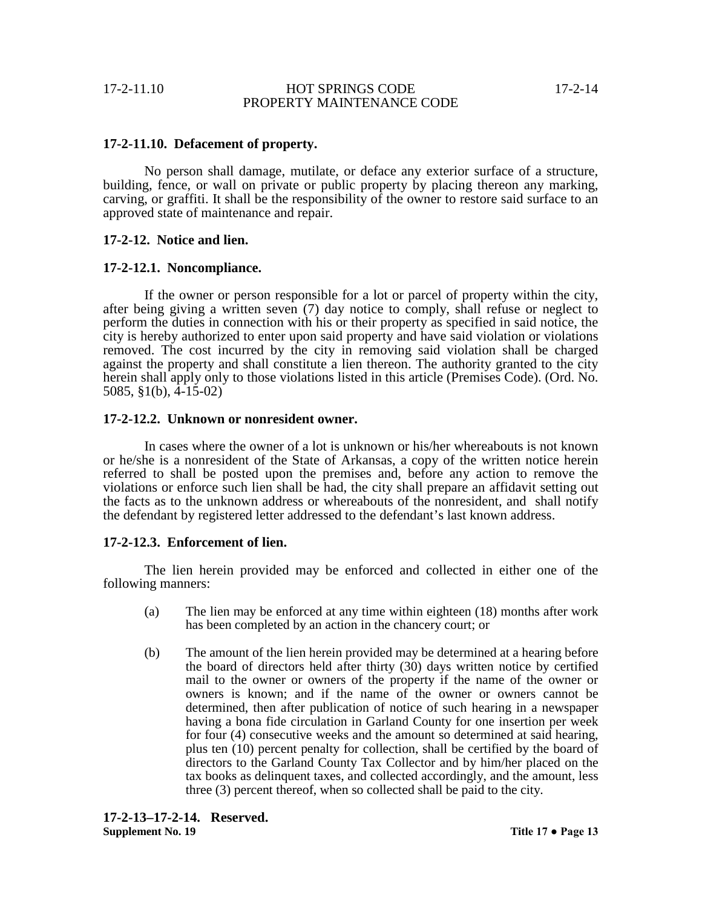#### **17-2-11.10. Defacement of property.**

No person shall damage, mutilate, or deface any exterior surface of a structure, building, fence, or wall on private or public property by placing thereon any marking, carving, or graffiti. It shall be the responsibility of the owner to restore said surface to an approved state of maintenance and repair.

#### **17-2-12. Notice and lien.**

#### **17-2-12.1. Noncompliance.**

If the owner or person responsible for a lot or parcel of property within the city, after being giving a written seven (7) day notice to comply, shall refuse or neglect to perform the duties in connection with his or their property as specified in said notice, the city is hereby authorized to enter upon said property and have said violation or violations removed. The cost incurred by the city in removing said violation shall be charged against the property and shall constitute a lien thereon. The authority granted to the city herein shall apply only to those violations listed in this article (Premises Code). (Ord. No. 5085, §1(b), 4-15-02)

#### **17-2-12.2. Unknown or nonresident owner.**

In cases where the owner of a lot is unknown or his/her whereabouts is not known or he/she is a nonresident of the State of Arkansas, a copy of the written notice herein referred to shall be posted upon the premises and, before any action to remove the violations or enforce such lien shall be had, the city shall prepare an affidavit setting out the facts as to the unknown address or whereabouts of the nonresident, and shall notify the defendant by registered letter addressed to the defendant's last known address.

#### **17-2-12.3. Enforcement of lien.**

The lien herein provided may be enforced and collected in either one of the following manners:

- (a) The lien may be enforced at any time within eighteen (18) months after work has been completed by an action in the chancery court; or
- (b) The amount of the lien herein provided may be determined at a hearing before the board of directors held after thirty (30) days written notice by certified mail to the owner or owners of the property if the name of the owner or owners is known; and if the name of the owner or owners cannot be determined, then after publication of notice of such hearing in a newspaper having a bona fide circulation in Garland County for one insertion per week for four (4) consecutive weeks and the amount so determined at said hearing, plus ten (10) percent penalty for collection, shall be certified by the board of directors to the Garland County Tax Collector and by him/her placed on the tax books as delinquent taxes, and collected accordingly, and the amount, less three (3) percent thereof, when so collected shall be paid to the city.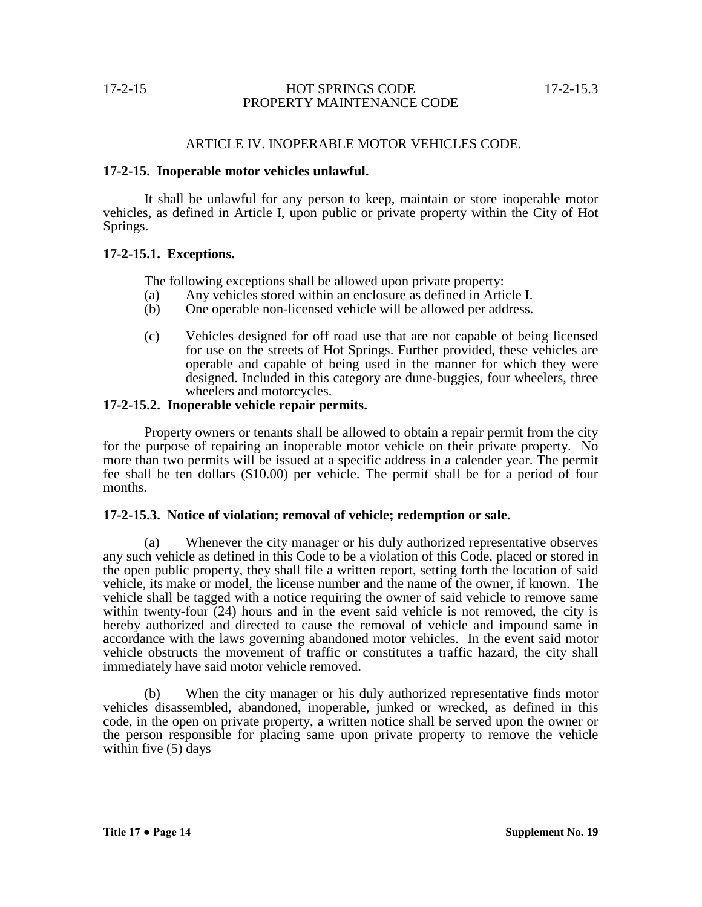#### 17-2-15 HOT SPRINGS CODE 17-2-15.3 PROPERTY MAINTENANCE CODE

#### ARTICLE IV. INOPERABLE MOTOR VEHICLES CODE.

#### **17-2-15. Inoperable motor vehicles unlawful.**

It shall be unlawful for any person to keep, maintain or store inoperable motor vehicles, as defined in Article I, upon public or private property within the City of Hot Springs.

#### **17-2-15.1. Exceptions.**

The following exceptions shall be allowed upon private property:

- (a) Any vehicles stored within an enclosure as defined in Article I.<br>(b) One operable non-licensed vehicle will be allowed per address.
- One operable non-licensed vehicle will be allowed per address.
- (c) Vehicles designed for off road use that are not capable of being licensed for use on the streets of Hot Springs. Further provided, these vehicles are operable and capable of being used in the manner for which they were designed. Included in this category are dune-buggies, four wheelers, three wheelers and motorcycles.

#### **17-2-15.2. Inoperable vehicle repair permits.**

Property owners or tenants shall be allowed to obtain a repair permit from the city for the purpose of repairing an inoperable motor vehicle on their private property. No more than two permits will be issued at a specific address in a calender year. The permit fee shall be ten dollars (\$10.00) per vehicle. The permit shall be for a period of four months.

#### **17-2-15.3. Notice of violation; removal of vehicle; redemption or sale.**

(a) Whenever the city manager or his duly authorized representative observes any such vehicle as defined in this Code to be a violation of this Code, placed or stored in the open public property, they shall file a written report, setting forth the location of said vehicle, its make or model, the license number and the name of the owner, if known. The vehicle shall be tagged with a notice requiring the owner of said vehicle to remove same within twenty-four (24) hours and in the event said vehicle is not removed, the city is hereby authorized and directed to cause the removal of vehicle and impound same in accordance with the laws governing abandoned motor vehicles. In the event said motor vehicle obstructs the movement of traffic or constitutes a traffic hazard, the city shall immediately have said motor vehicle removed.

(b) When the city manager or his duly authorized representative finds motor vehicles disassembled, abandoned, inoperable, junked or wrecked, as defined in this code, in the open on private property, a written notice shall be served upon the owner or the person responsible for placing same upon private property to remove the vehicle within five (5) days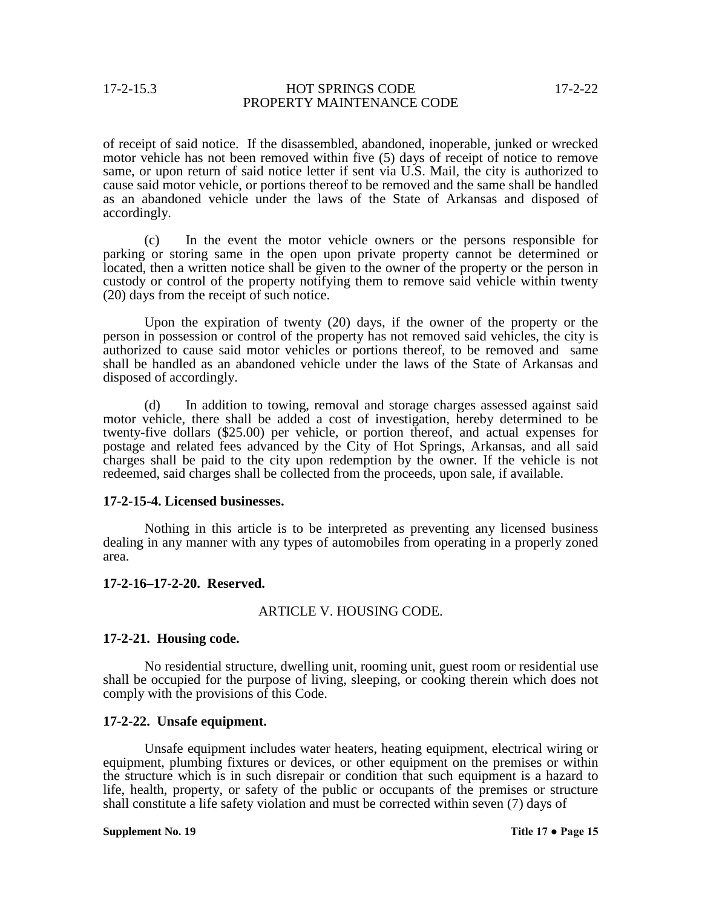#### 17-2-15.3 **HOT SPRINGS CODE** 17-2-22 PROPERTY MAINTENANCE CODE

of receipt of said notice. If the disassembled, abandoned, inoperable, junked or wrecked motor vehicle has not been removed within five (5) days of receipt of notice to remove same, or upon return of said notice letter if sent via U.S. Mail, the city is authorized to cause said motor vehicle, or portions thereof to be removed and the same shall be handled as an abandoned vehicle under the laws of the State of Arkansas and disposed of accordingly.

(c) In the event the motor vehicle owners or the persons responsible for parking or storing same in the open upon private property cannot be determined or located, then a written notice shall be given to the owner of the property or the person in custody or control of the property notifying them to remove said vehicle within twenty (20) days from the receipt of such notice.

Upon the expiration of twenty (20) days, if the owner of the property or the person in possession or control of the property has not removed said vehicles, the city is authorized to cause said motor vehicles or portions thereof, to be removed and same shall be handled as an abandoned vehicle under the laws of the State of Arkansas and disposed of accordingly.

(d) In addition to towing, removal and storage charges assessed against said motor vehicle, there shall be added a cost of investigation, hereby determined to be twenty-five dollars (\$25.00) per vehicle, or portion thereof, and actual expenses for postage and related fees advanced by the City of Hot Springs, Arkansas, and all said charges shall be paid to the city upon redemption by the owner. If the vehicle is not redeemed, said charges shall be collected from the proceeds, upon sale, if available.

#### **17-2-15-4. Licensed businesses.**

Nothing in this article is to be interpreted as preventing any licensed business dealing in any manner with any types of automobiles from operating in a properly zoned area.

#### **17-2-16–17-2-20. Reserved.**

#### ARTICLE V. HOUSING CODE.

#### **17-2-21. Housing code.**

No residential structure, dwelling unit, rooming unit, guest room or residential use shall be occupied for the purpose of living, sleeping, or cooking therein which does not comply with the provisions of this Code.

#### **17-2-22. Unsafe equipment.**

Unsafe equipment includes water heaters, heating equipment, electrical wiring or equipment, plumbing fixtures or devices, or other equipment on the premises or within the structure which is in such disrepair or condition that such equipment is a hazard to life, health, property, or safety of the public or occupants of the premises or structure shall constitute a life safety violation and must be corrected within seven (7) days of

#### **Supplement No. 19 Title 17 • Page 15**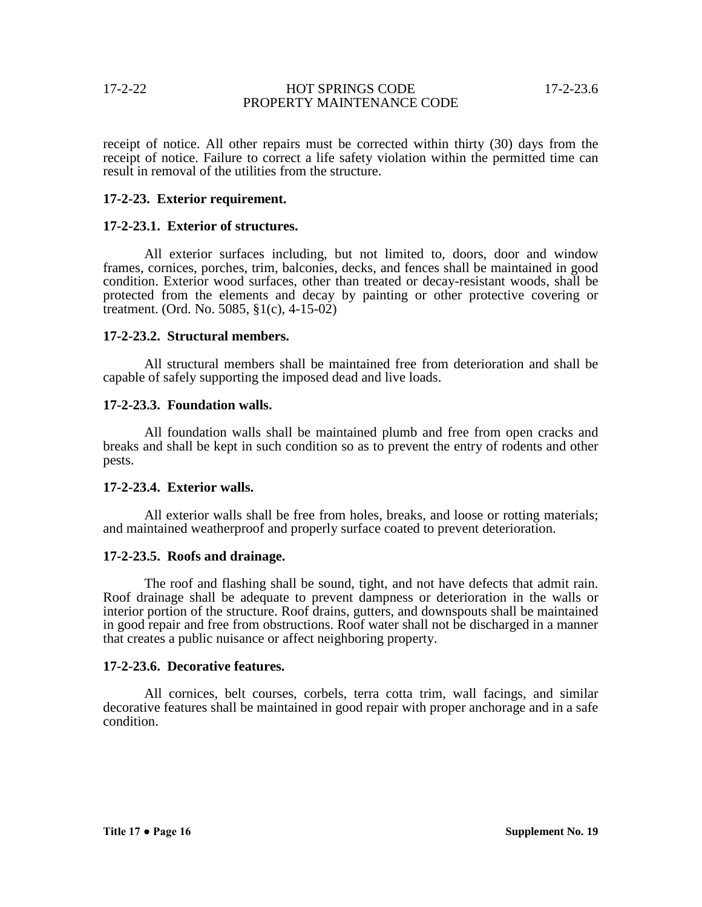#### 17-2-22 HOT SPRINGS CODE 17-2-23.6 PROPERTY MAINTENANCE CODE

receipt of notice. All other repairs must be corrected within thirty (30) days from the receipt of notice. Failure to correct a life safety violation within the permitted time can result in removal of the utilities from the structure.

#### **17-2-23. Exterior requirement.**

#### **17-2-23.1. Exterior of structures.**

All exterior surfaces including, but not limited to, doors, door and window frames, cornices, porches, trim, balconies, decks, and fences shall be maintained in good condition. Exterior wood surfaces, other than treated or decay-resistant woods, shall be protected from the elements and decay by painting or other protective covering or treatment. (Ord. No. 5085, §1(c), 4-15-02)

#### **17-2-23.2. Structural members.**

All structural members shall be maintained free from deterioration and shall be capable of safely supporting the imposed dead and live loads.

#### **17-2-23.3. Foundation walls.**

All foundation walls shall be maintained plumb and free from open cracks and breaks and shall be kept in such condition so as to prevent the entry of rodents and other pests.

#### **17-2-23.4. Exterior walls.**

All exterior walls shall be free from holes, breaks, and loose or rotting materials; and maintained weatherproof and properly surface coated to prevent deterioration.

#### **17-2-23.5. Roofs and drainage.**

The roof and flashing shall be sound, tight, and not have defects that admit rain. Roof drainage shall be adequate to prevent dampness or deterioration in the walls or interior portion of the structure. Roof drains, gutters, and downspouts shall be maintained in good repair and free from obstructions. Roof water shall not be discharged in a manner that creates a public nuisance or affect neighboring property.

#### **17-2-23.6. Decorative features.**

All cornices, belt courses, corbels, terra cotta trim, wall facings, and similar decorative features shall be maintained in good repair with proper anchorage and in a safe condition.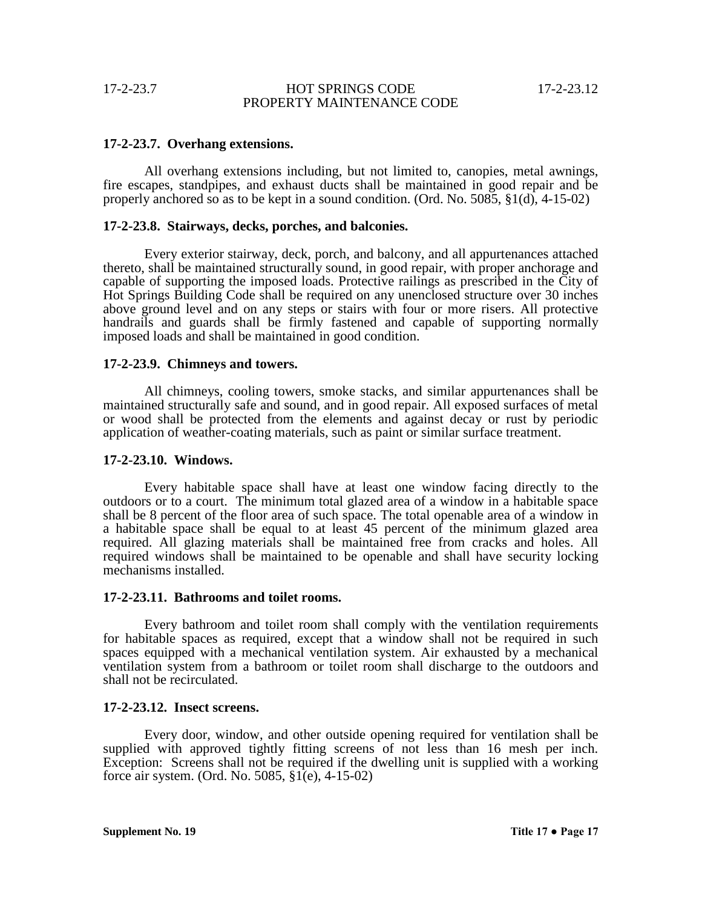#### **17-2-23.7. Overhang extensions.**

All overhang extensions including, but not limited to, canopies, metal awnings, fire escapes, standpipes, and exhaust ducts shall be maintained in good repair and be properly anchored so as to be kept in a sound condition. (Ord. No. 5085, §1(d), 4-15-02)

#### **17-2-23.8. Stairways, decks, porches, and balconies.**

Every exterior stairway, deck, porch, and balcony, and all appurtenances attached thereto, shall be maintained structurally sound, in good repair, with proper anchorage and capable of supporting the imposed loads. Protective railings as prescribed in the City of Hot Springs Building Code shall be required on any unenclosed structure over 30 inches above ground level and on any steps or stairs with four or more risers. All protective handrails and guards shall be firmly fastened and capable of supporting normally imposed loads and shall be maintained in good condition.

#### **17-2-23.9. Chimneys and towers.**

All chimneys, cooling towers, smoke stacks, and similar appurtenances shall be maintained structurally safe and sound, and in good repair. All exposed surfaces of metal or wood shall be protected from the elements and against decay or rust by periodic application of weather-coating materials, such as paint or similar surface treatment.

#### **17-2-23.10. Windows.**

Every habitable space shall have at least one window facing directly to the outdoors or to a court. The minimum total glazed area of a window in a habitable space shall be 8 percent of the floor area of such space. The total openable area of a window in a habitable space shall be equal to at least 45 percent of the minimum glazed area required. All glazing materials shall be maintained free from cracks and holes. All required windows shall be maintained to be openable and shall have security locking mechanisms installed.

#### **17-2-23.11. Bathrooms and toilet rooms.**

Every bathroom and toilet room shall comply with the ventilation requirements for habitable spaces as required, except that a window shall not be required in such spaces equipped with a mechanical ventilation system. Air exhausted by a mechanical ventilation system from a bathroom or toilet room shall discharge to the outdoors and shall not be recirculated.

#### **17-2-23.12. Insect screens.**

Every door, window, and other outside opening required for ventilation shall be supplied with approved tightly fitting screens of not less than 16 mesh per inch. Exception: Screens shall not be required if the dwelling unit is supplied with a working force air system. (Ord. No. 5085, §1(e), 4-15-02)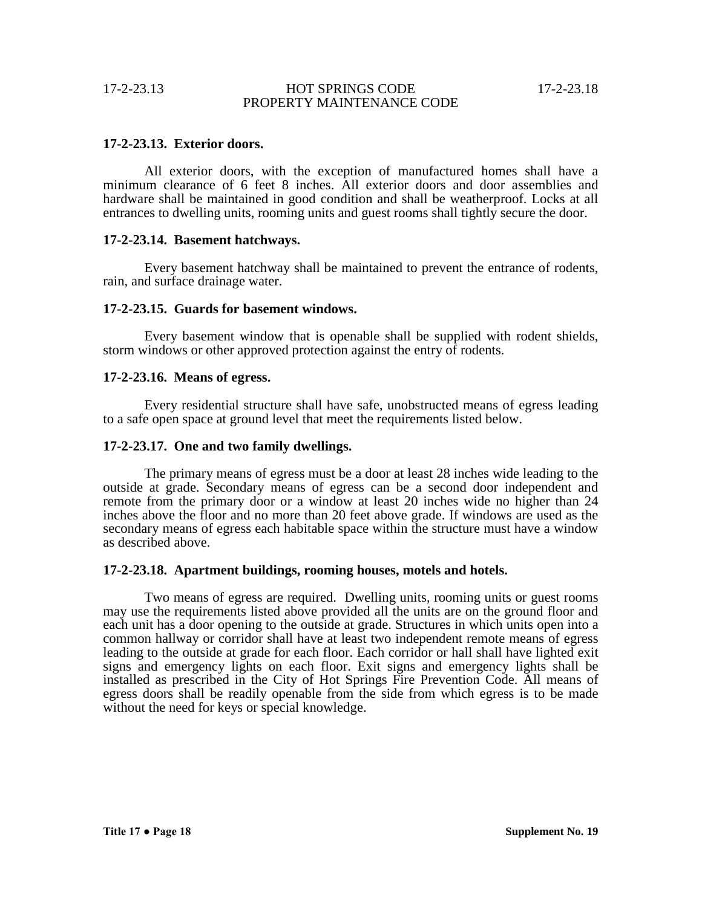17-2-23.13 HOT SPRINGS CODE 17-2-23.18 PROPERTY MAINTENANCE CODE

#### **17-2-23.13. Exterior doors.**

All exterior doors, with the exception of manufactured homes shall have a minimum clearance of 6 feet 8 inches. All exterior doors and door assemblies and hardware shall be maintained in good condition and shall be weatherproof. Locks at all entrances to dwelling units, rooming units and guest rooms shall tightly secure the door.

#### **17-2-23.14. Basement hatchways.**

Every basement hatchway shall be maintained to prevent the entrance of rodents, rain, and surface drainage water.

#### **17-2-23.15. Guards for basement windows.**

Every basement window that is openable shall be supplied with rodent shields, storm windows or other approved protection against the entry of rodents.

#### **17-2-23.16. Means of egress.**

Every residential structure shall have safe, unobstructed means of egress leading to a safe open space at ground level that meet the requirements listed below.

#### **17-2-23.17. One and two family dwellings.**

The primary means of egress must be a door at least 28 inches wide leading to the outside at grade. Secondary means of egress can be a second door independent and remote from the primary door or a window at least 20 inches wide no higher than 24 inches above the floor and no more than 20 feet above grade. If windows are used as the secondary means of egress each habitable space within the structure must have a window as described above.

#### **17-2-23.18. Apartment buildings, rooming houses, motels and hotels.**

Two means of egress are required. Dwelling units, rooming units or guest rooms may use the requirements listed above provided all the units are on the ground floor and each unit has a door opening to the outside at grade. Structures in which units open into a common hallway or corridor shall have at least two independent remote means of egress leading to the outside at grade for each floor. Each corridor or hall shall have lighted exit signs and emergency lights on each floor. Exit signs and emergency lights shall be installed as prescribed in the City of Hot Springs Fire Prevention Code. All means of egress doors shall be readily openable from the side from which egress is to be made without the need for keys or special knowledge.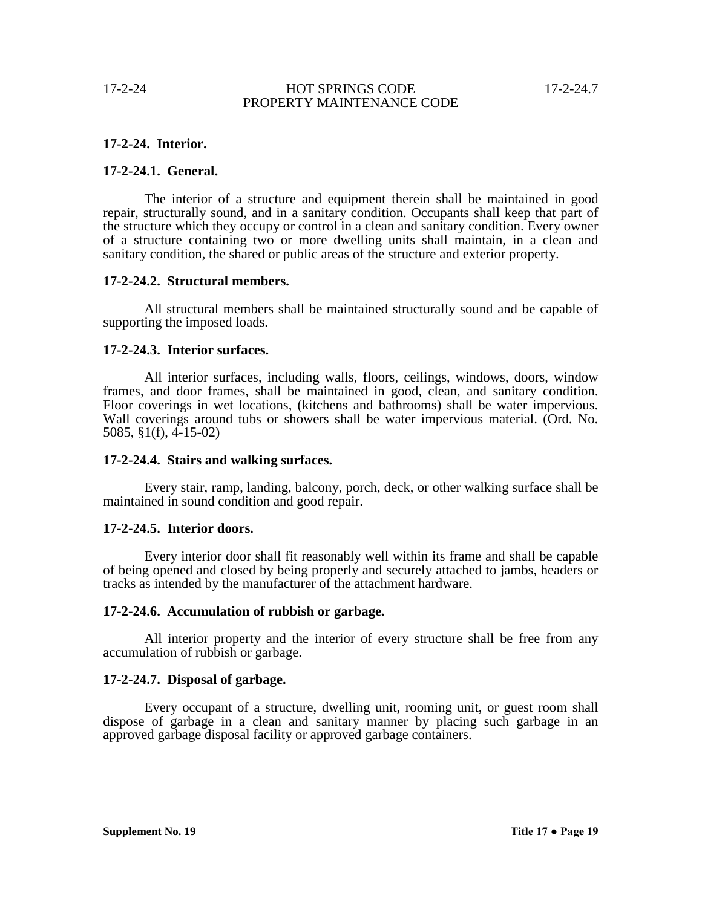#### **17-2-24. Interior.**

#### **17-2-24.1. General.**

The interior of a structure and equipment therein shall be maintained in good repair, structurally sound, and in a sanitary condition. Occupants shall keep that part of the structure which they occupy or control in a clean and sanitary condition. Every owner of a structure containing two or more dwelling units shall maintain, in a clean and sanitary condition, the shared or public areas of the structure and exterior property.

#### **17-2-24.2. Structural members.**

All structural members shall be maintained structurally sound and be capable of supporting the imposed loads.

#### **17-2-24.3. Interior surfaces.**

All interior surfaces, including walls, floors, ceilings, windows, doors, window frames, and door frames, shall be maintained in good, clean, and sanitary condition. Floor coverings in wet locations, (kitchens and bathrooms) shall be water impervious. Wall coverings around tubs or showers shall be water impervious material. (Ord. No. 5085, §1(f), 4-15-02)

#### **17-2-24.4. Stairs and walking surfaces.**

Every stair, ramp, landing, balcony, porch, deck, or other walking surface shall be maintained in sound condition and good repair.

#### **17-2-24.5. Interior doors.**

Every interior door shall fit reasonably well within its frame and shall be capable of being opened and closed by being properly and securely attached to jambs, headers or tracks as intended by the manufacturer of the attachment hardware.

#### **17-2-24.6. Accumulation of rubbish or garbage.**

All interior property and the interior of every structure shall be free from any accumulation of rubbish or garbage.

#### **17-2-24.7. Disposal of garbage.**

Every occupant of a structure, dwelling unit, rooming unit, or guest room shall dispose of garbage in a clean and sanitary manner by placing such garbage in an approved garbage disposal facility or approved garbage containers.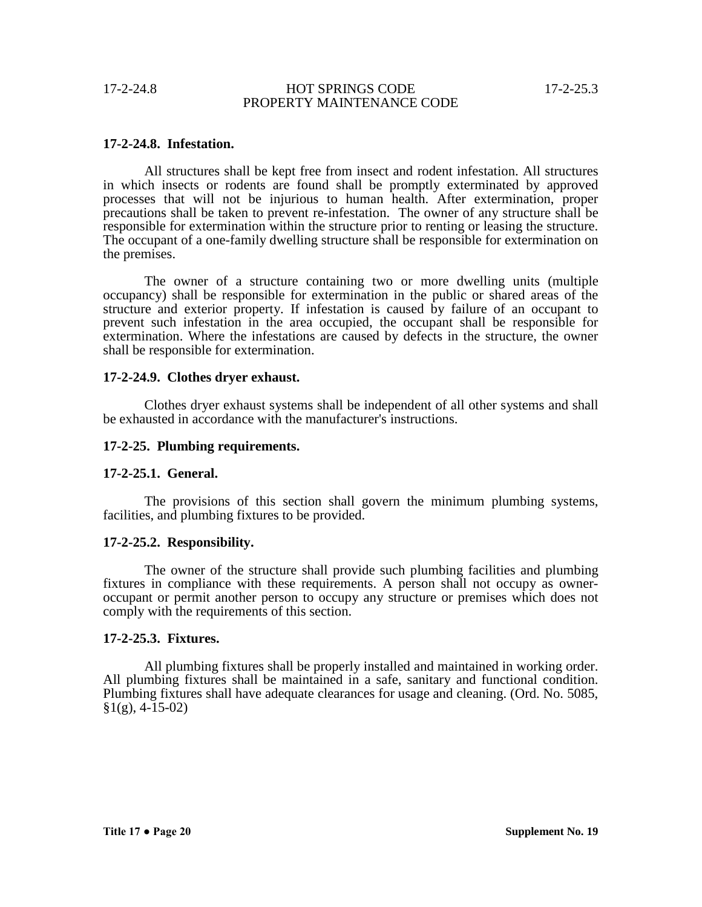#### **17-2-24.8. Infestation.**

All structures shall be kept free from insect and rodent infestation. All structures in which insects or rodents are found shall be promptly exterminated by approved processes that will not be injurious to human health. After extermination, proper precautions shall be taken to prevent re-infestation. The owner of any structure shall be responsible for extermination within the structure prior to renting or leasing the structure. The occupant of a one-family dwelling structure shall be responsible for extermination on the premises.

The owner of a structure containing two or more dwelling units (multiple occupancy) shall be responsible for extermination in the public or shared areas of the structure and exterior property. If infestation is caused by failure of an occupant to prevent such infestation in the area occupied, the occupant shall be responsible for extermination. Where the infestations are caused by defects in the structure, the owner shall be responsible for extermination.

#### **17-2-24.9. Clothes dryer exhaust.**

Clothes dryer exhaust systems shall be independent of all other systems and shall be exhausted in accordance with the manufacturer's instructions.

#### **17-2-25. Plumbing requirements.**

#### **17-2-25.1. General.**

The provisions of this section shall govern the minimum plumbing systems, facilities, and plumbing fixtures to be provided.

#### **17-2-25.2. Responsibility.**

The owner of the structure shall provide such plumbing facilities and plumbing fixtures in compliance with these requirements. A person shall not occupy as owneroccupant or permit another person to occupy any structure or premises which does not comply with the requirements of this section.

#### **17-2-25.3. Fixtures.**

All plumbing fixtures shall be properly installed and maintained in working order. All plumbing fixtures shall be maintained in a safe, sanitary and functional condition. Plumbing fixtures shall have adequate clearances for usage and cleaning. (Ord. No. 5085,  $§1(g), 4-15-02)$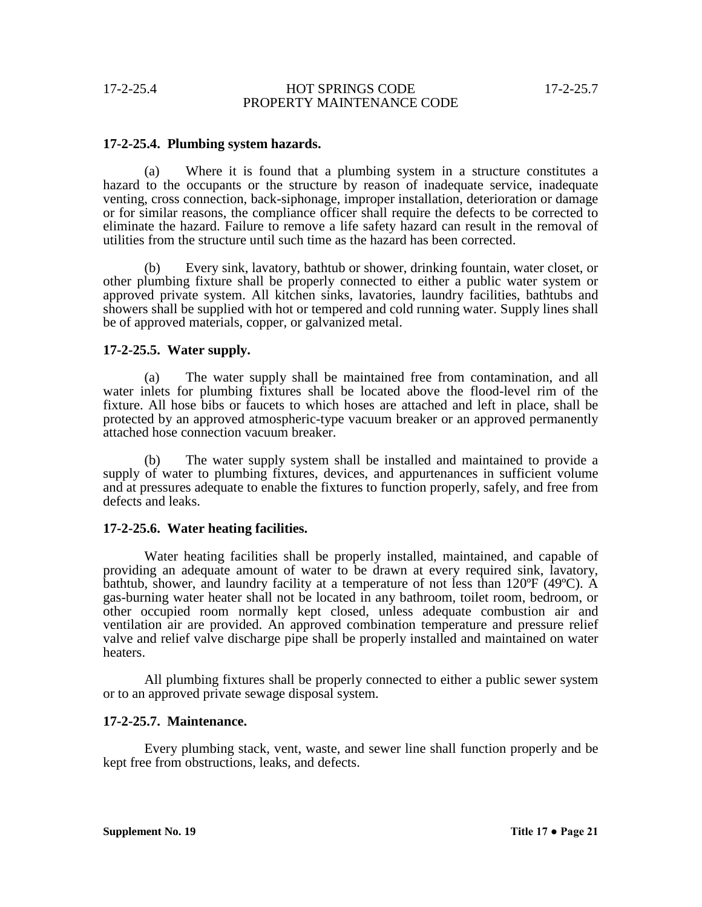#### **17-2-25.4. Plumbing system hazards.**

(a) Where it is found that a plumbing system in a structure constitutes a hazard to the occupants or the structure by reason of inadequate service, inadequate venting, cross connection, back-siphonage, improper installation, deterioration or damage or for similar reasons, the compliance officer shall require the defects to be corrected to eliminate the hazard. Failure to remove a life safety hazard can result in the removal of utilities from the structure until such time as the hazard has been corrected.

(b) Every sink, lavatory, bathtub or shower, drinking fountain, water closet, or other plumbing fixture shall be properly connected to either a public water system or approved private system. All kitchen sinks, lavatories, laundry facilities, bathtubs and showers shall be supplied with hot or tempered and cold running water. Supply lines shall be of approved materials, copper, or galvanized metal.

#### **17-2-25.5. Water supply.**

(a) The water supply shall be maintained free from contamination, and all water inlets for plumbing fixtures shall be located above the flood-level rim of the fixture. All hose bibs or faucets to which hoses are attached and left in place, shall be protected by an approved atmospheric-type vacuum breaker or an approved permanently attached hose connection vacuum breaker.

(b) The water supply system shall be installed and maintained to provide a supply of water to plumbing fixtures, devices, and appurtenances in sufficient volume and at pressures adequate to enable the fixtures to function properly, safely, and free from defects and leaks.

#### **17-2-25.6. Water heating facilities.**

Water heating facilities shall be properly installed, maintained, and capable of providing an adequate amount of water to be drawn at every required sink, lavatory, bathtub, shower, and laundry facility at a temperature of not less than 120ºF (49ºC). A gas-burning water heater shall not be located in any bathroom, toilet room, bedroom, or other occupied room normally kept closed, unless adequate combustion air and ventilation air are provided. An approved combination temperature and pressure relief valve and relief valve discharge pipe shall be properly installed and maintained on water heaters.

All plumbing fixtures shall be properly connected to either a public sewer system or to an approved private sewage disposal system.

#### **17-2-25.7. Maintenance.**

Every plumbing stack, vent, waste, and sewer line shall function properly and be kept free from obstructions, leaks, and defects.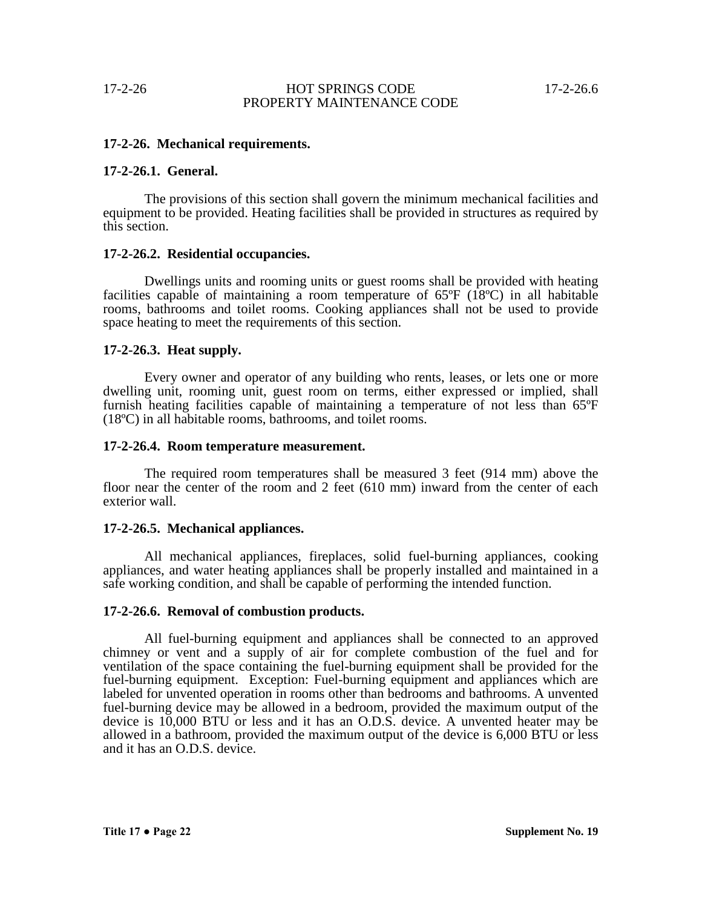#### **17-2-26. Mechanical requirements.**

#### **17-2-26.1. General.**

The provisions of this section shall govern the minimum mechanical facilities and equipment to be provided. Heating facilities shall be provided in structures as required by this section.

#### **17-2-26.2. Residential occupancies.**

Dwellings units and rooming units or guest rooms shall be provided with heating facilities capable of maintaining a room temperature of 65ºF (18ºC) in all habitable rooms, bathrooms and toilet rooms. Cooking appliances shall not be used to provide space heating to meet the requirements of this section.

#### **17-2-26.3. Heat supply.**

Every owner and operator of any building who rents, leases, or lets one or more dwelling unit, rooming unit, guest room on terms, either expressed or implied, shall furnish heating facilities capable of maintaining a temperature of not less than 65ºF (18ºC) in all habitable rooms, bathrooms, and toilet rooms.

#### **17-2-26.4. Room temperature measurement.**

The required room temperatures shall be measured 3 feet (914 mm) above the floor near the center of the room and 2 feet (610 mm) inward from the center of each exterior wall.

#### **17-2-26.5. Mechanical appliances.**

All mechanical appliances, fireplaces, solid fuel-burning appliances, cooking appliances, and water heating appliances shall be properly installed and maintained in a safe working condition, and shall be capable of performing the intended function.

#### **17-2-26.6. Removal of combustion products.**

All fuel-burning equipment and appliances shall be connected to an approved chimney or vent and a supply of air for complete combustion of the fuel and for ventilation of the space containing the fuel-burning equipment shall be provided for the fuel-burning equipment. Exception: Fuel-burning equipment and appliances which are labeled for unvented operation in rooms other than bedrooms and bathrooms. A unvented fuel-burning device may be allowed in a bedroom, provided the maximum output of the device is 10,000 BTU or less and it has an O.D.S. device. A unvented heater may be allowed in a bathroom, provided the maximum output of the device is 6,000 BTU or less and it has an O.D.S. device.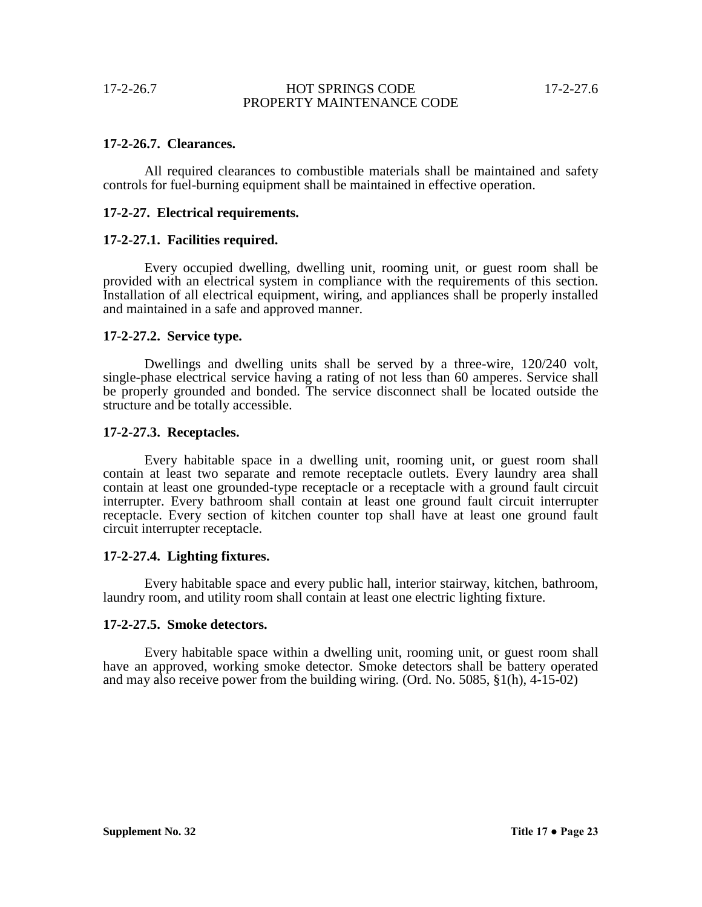#### 17-2-26.7 HOT SPRINGS CODE 17-2-27.6 PROPERTY MAINTENANCE CODE

#### **17-2-26.7. Clearances.**

All required clearances to combustible materials shall be maintained and safety controls for fuel-burning equipment shall be maintained in effective operation.

#### **17-2-27. Electrical requirements.**

#### **17-2-27.1. Facilities required.**

Every occupied dwelling, dwelling unit, rooming unit, or guest room shall be provided with an electrical system in compliance with the requirements of this section. Installation of all electrical equipment, wiring, and appliances shall be properly installed and maintained in a safe and approved manner.

#### **17-2-27.2. Service type.**

Dwellings and dwelling units shall be served by a three-wire, 120/240 volt, single-phase electrical service having a rating of not less than 60 amperes. Service shall be properly grounded and bonded. The service disconnect shall be located outside the structure and be totally accessible.

#### **17-2-27.3. Receptacles.**

Every habitable space in a dwelling unit, rooming unit, or guest room shall contain at least two separate and remote receptacle outlets. Every laundry area shall contain at least one grounded-type receptacle or a receptacle with a ground fault circuit interrupter. Every bathroom shall contain at least one ground fault circuit interrupter receptacle. Every section of kitchen counter top shall have at least one ground fault circuit interrupter receptacle.

#### **17-2-27.4. Lighting fixtures.**

Every habitable space and every public hall, interior stairway, kitchen, bathroom, laundry room, and utility room shall contain at least one electric lighting fixture.

#### **17-2-27.5. Smoke detectors.**

Every habitable space within a dwelling unit, rooming unit, or guest room shall have an approved, working smoke detector. Smoke detectors shall be battery operated and may also receive power from the building wiring. (Ord. No. 5085, §1(h), 4-15-02)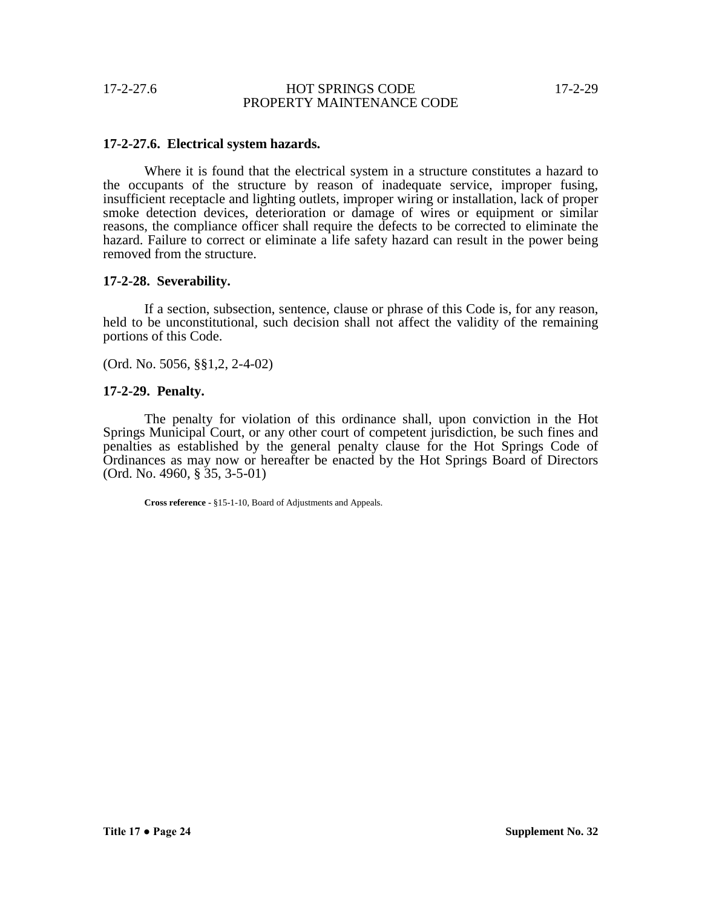#### 17-2-27.6 HOT SPRINGS CODE 17-2-29 PROPERTY MAINTENANCE CODE

#### **17-2-27.6. Electrical system hazards.**

Where it is found that the electrical system in a structure constitutes a hazard to the occupants of the structure by reason of inadequate service, improper fusing, insufficient receptacle and lighting outlets, improper wiring or installation, lack of proper smoke detection devices, deterioration or damage of wires or equipment or similar reasons, the compliance officer shall require the defects to be corrected to eliminate the hazard. Failure to correct or eliminate a life safety hazard can result in the power being removed from the structure.

#### **17-2-28. Severability.**

If a section, subsection, sentence, clause or phrase of this Code is, for any reason, held to be unconstitutional, such decision shall not affect the validity of the remaining portions of this Code.

(Ord. No. 5056, §§1,2, 2-4-02)

#### **17-2-29. Penalty.**

The penalty for violation of this ordinance shall, upon conviction in the Hot Springs Municipal Court, or any other court of competent jurisdiction, be such fines and penalties as established by the general penalty clause for the Hot Springs Code of Ordinances as may now or hereafter be enacted by the Hot Springs Board of Directors (Ord. No. 4960, § 35, 3-5-01)

**Cross reference -** §15-1-10, Board of Adjustments and Appeals.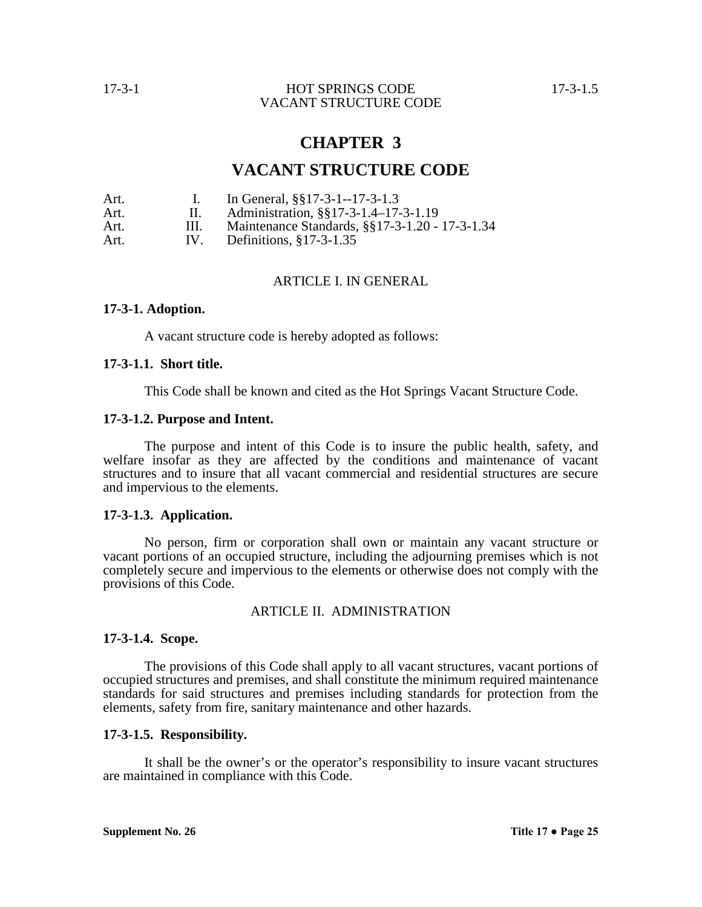# **CHAPTER 3**

# **VACANT STRUCTURE CODE**

<span id="page-27-0"></span>

| Art. |          | In General, $\S$ §17-3-1--17-3-1.3             |
|------|----------|------------------------------------------------|
| Art. |          | Administration, §§17-3-1.4–17-3-1.19           |
| Art. | HL.      | Maintenance Standards, §§17-3-1.20 - 17-3-1.34 |
| Art. | $IV_{-}$ | Definitions, §17-3-1.35                        |

### ARTICLE I. IN GENERAL

#### **17-3-1. Adoption.**

A vacant structure code is hereby adopted as follows:

#### **17-3-1.1. Short title.**

This Code shall be known and cited as the Hot Springs Vacant Structure Code.

#### **17-3-1.2. Purpose and Intent.**

The purpose and intent of this Code is to insure the public health, safety, and welfare insofar as they are affected by the conditions and maintenance of vacant structures and to insure that all vacant commercial and residential structures are secure and impervious to the elements.

#### **17-3-1.3. Application.**

No person, firm or corporation shall own or maintain any vacant structure or vacant portions of an occupied structure, including the adjourning premises which is not completely secure and impervious to the elements or otherwise does not comply with the provisions of this Code.

#### ARTICLE II. ADMINISTRATION

#### **17-3-1.4. Scope.**

The provisions of this Code shall apply to all vacant structures, vacant portions of occupied structures and premises, and shall constitute the minimum required maintenance standards for said structures and premises including standards for protection from the elements, safety from fire, sanitary maintenance and other hazards.

#### **17-3-1.5. Responsibility.**

It shall be the owner's or the operator's responsibility to insure vacant structures are maintained in compliance with this Code.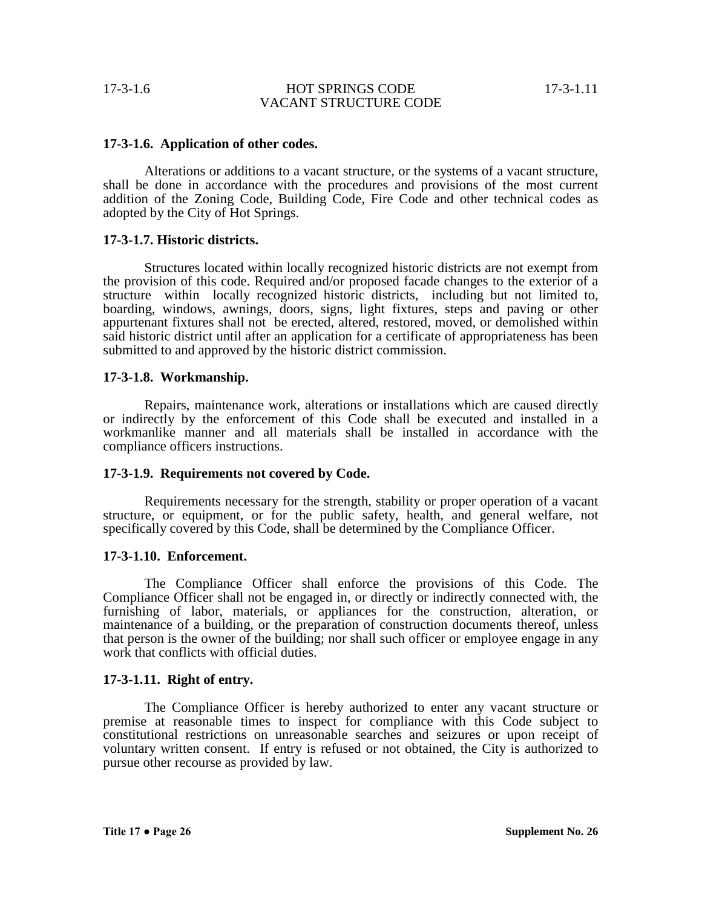#### **17-3-1.6. Application of other codes.**

Alterations or additions to a vacant structure, or the systems of a vacant structure, shall be done in accordance with the procedures and provisions of the most current addition of the Zoning Code, Building Code, Fire Code and other technical codes as adopted by the City of Hot Springs.

#### **17-3-1.7. Historic districts.**

Structures located within locally recognized historic districts are not exempt from the provision of this code. Required and/or proposed facade changes to the exterior of a structure within locally recognized historic districts, including but not limited to, boarding, windows, awnings, doors, signs, light fixtures, steps and paving or other appurtenant fixtures shall not be erected, altered, restored, moved, or demolished within said historic district until after an application for a certificate of appropriateness has been submitted to and approved by the historic district commission.

#### **17-3-1.8. Workmanship.**

Repairs, maintenance work, alterations or installations which are caused directly or indirectly by the enforcement of this Code shall be executed and installed in a workmanlike manner and all materials shall be installed in accordance with the compliance officers instructions.

#### **17-3-1.9. Requirements not covered by Code.**

Requirements necessary for the strength, stability or proper operation of a vacant structure, or equipment, or for the public safety, health, and general welfare, not specifically covered by this Code, shall be determined by the Compliance Officer.

#### **17-3-1.10. Enforcement.**

The Compliance Officer shall enforce the provisions of this Code. The Compliance Officer shall not be engaged in, or directly or indirectly connected with, the furnishing of labor, materials, or appliances for the construction, alteration, or maintenance of a building, or the preparation of construction documents thereof, unless that person is the owner of the building; nor shall such officer or employee engage in any work that conflicts with official duties.

#### **17-3-1.11. Right of entry.**

The Compliance Officer is hereby authorized to enter any vacant structure or premise at reasonable times to inspect for compliance with this Code subject to constitutional restrictions on unreasonable searches and seizures or upon receipt of voluntary written consent. If entry is refused or not obtained, the City is authorized to pursue other recourse as provided by law.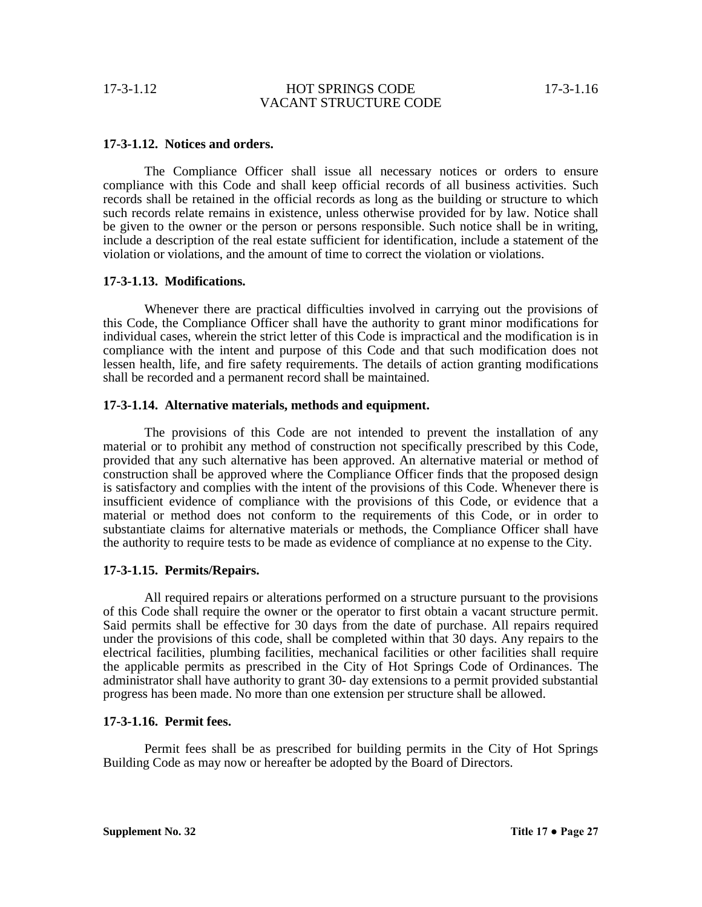#### **17-3-1.12. Notices and orders.**

The Compliance Officer shall issue all necessary notices or orders to ensure compliance with this Code and shall keep official records of all business activities. Such records shall be retained in the official records as long as the building or structure to which such records relate remains in existence, unless otherwise provided for by law. Notice shall be given to the owner or the person or persons responsible. Such notice shall be in writing, include a description of the real estate sufficient for identification, include a statement of the violation or violations, and the amount of time to correct the violation or violations.

#### **17-3-1.13. Modifications.**

Whenever there are practical difficulties involved in carrying out the provisions of this Code, the Compliance Officer shall have the authority to grant minor modifications for individual cases, wherein the strict letter of this Code is impractical and the modification is in compliance with the intent and purpose of this Code and that such modification does not lessen health, life, and fire safety requirements. The details of action granting modifications shall be recorded and a permanent record shall be maintained.

#### **17-3-1.14. Alternative materials, methods and equipment.**

The provisions of this Code are not intended to prevent the installation of any material or to prohibit any method of construction not specifically prescribed by this Code, provided that any such alternative has been approved. An alternative material or method of construction shall be approved where the Compliance Officer finds that the proposed design is satisfactory and complies with the intent of the provisions of this Code. Whenever there is insufficient evidence of compliance with the provisions of this Code, or evidence that a material or method does not conform to the requirements of this Code, or in order to substantiate claims for alternative materials or methods, the Compliance Officer shall have the authority to require tests to be made as evidence of compliance at no expense to the City.

#### **17-3-1.15. Permits/Repairs.**

All required repairs or alterations performed on a structure pursuant to the provisions of this Code shall require the owner or the operator to first obtain a vacant structure permit. Said permits shall be effective for 30 days from the date of purchase. All repairs required under the provisions of this code, shall be completed within that 30 days. Any repairs to the electrical facilities, plumbing facilities, mechanical facilities or other facilities shall require the applicable permits as prescribed in the City of Hot Springs Code of Ordinances. The administrator shall have authority to grant 30- day extensions to a permit provided substantial progress has been made. No more than one extension per structure shall be allowed.

#### **17-3-1.16. Permit fees.**

Permit fees shall be as prescribed for building permits in the City of Hot Springs Building Code as may now or hereafter be adopted by the Board of Directors.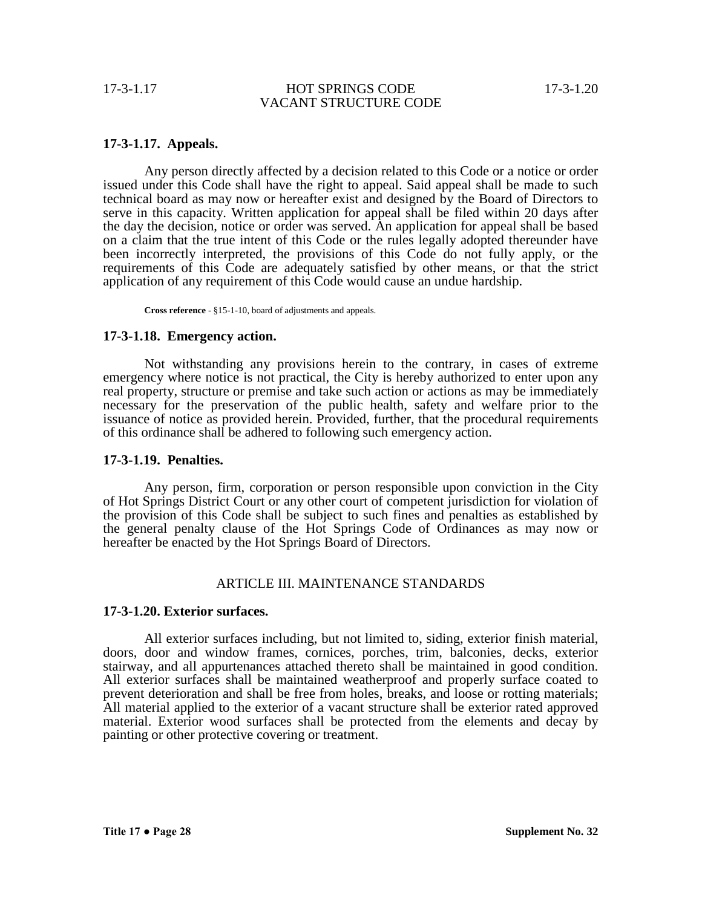#### 17-3-1.17 **HOT SPRINGS CODE** 17-3-1.20 VACANT STRUCTURE CODE

#### **17-3-1.17. Appeals.**

Any person directly affected by a decision related to this Code or a notice or order issued under this Code shall have the right to appeal. Said appeal shall be made to such technical board as may now or hereafter exist and designed by the Board of Directors to serve in this capacity. Written application for appeal shall be filed within 20 days after the day the decision, notice or order was served. An application for appeal shall be based on a claim that the true intent of this Code or the rules legally adopted thereunder have been incorrectly interpreted, the provisions of this Code do not fully apply, or the requirements of this Code are adequately satisfied by other means, or that the strict application of any requirement of this Code would cause an undue hardship.

**Cross reference** - §15-1-10, board of adjustments and appeals.

#### **17-3-1.18. Emergency action.**

Not withstanding any provisions herein to the contrary, in cases of extreme emergency where notice is not practical, the City is hereby authorized to enter upon any real property, structure or premise and take such action or actions as may be immediately necessary for the preservation of the public health, safety and welfare prior to the issuance of notice as provided herein. Provided, further, that the procedural requirements of this ordinance shall be adhered to following such emergency action.

#### **17-3-1.19. Penalties.**

Any person, firm, corporation or person responsible upon conviction in the City of Hot Springs District Court or any other court of competent jurisdiction for violation of the provision of this Code shall be subject to such fines and penalties as established by the general penalty clause of the Hot Springs Code of Ordinances as may now or hereafter be enacted by the Hot Springs Board of Directors.

#### ARTICLE III. MAINTENANCE STANDARDS

#### **17-3-1.20. Exterior surfaces.**

All exterior surfaces including, but not limited to, siding, exterior finish material, doors, door and window frames, cornices, porches, trim, balconies, decks, exterior stairway, and all appurtenances attached thereto shall be maintained in good condition. All exterior surfaces shall be maintained weatherproof and properly surface coated to prevent deterioration and shall be free from holes, breaks, and loose or rotting materials; All material applied to the exterior of a vacant structure shall be exterior rated approved material. Exterior wood surfaces shall be protected from the elements and decay by painting or other protective covering or treatment.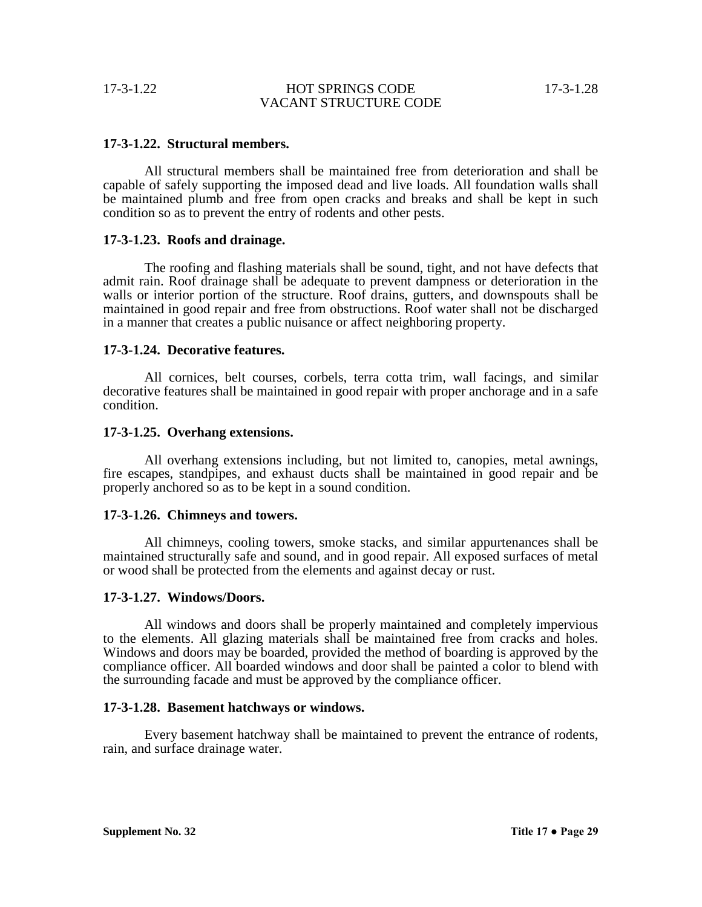17-3-1.22 HOT SPRINGS CODE 17-3-1.28 VACANT STRUCTURE CODE

#### **17-3-1.22. Structural members.**

All structural members shall be maintained free from deterioration and shall be capable of safely supporting the imposed dead and live loads. All foundation walls shall be maintained plumb and free from open cracks and breaks and shall be kept in such condition so as to prevent the entry of rodents and other pests.

#### **17-3-1.23. Roofs and drainage.**

The roofing and flashing materials shall be sound, tight, and not have defects that admit rain. Roof drainage shall be adequate to prevent dampness or deterioration in the walls or interior portion of the structure. Roof drains, gutters, and downspouts shall be maintained in good repair and free from obstructions. Roof water shall not be discharged in a manner that creates a public nuisance or affect neighboring property.

#### **17-3-1.24. Decorative features.**

All cornices, belt courses, corbels, terra cotta trim, wall facings, and similar decorative features shall be maintained in good repair with proper anchorage and in a safe condition.

#### **17-3-1.25. Overhang extensions.**

All overhang extensions including, but not limited to, canopies, metal awnings, fire escapes, standpipes, and exhaust ducts shall be maintained in good repair and be properly anchored so as to be kept in a sound condition.

#### **17-3-1.26. Chimneys and towers.**

All chimneys, cooling towers, smoke stacks, and similar appurtenances shall be maintained structurally safe and sound, and in good repair. All exposed surfaces of metal or wood shall be protected from the elements and against decay or rust.

#### **17-3-1.27. Windows/Doors.**

All windows and doors shall be properly maintained and completely impervious to the elements. All glazing materials shall be maintained free from cracks and holes. Windows and doors may be boarded, provided the method of boarding is approved by the compliance officer. All boarded windows and door shall be painted a color to blend with the surrounding facade and must be approved by the compliance officer.

#### **17-3-1.28. Basement hatchways or windows.**

Every basement hatchway shall be maintained to prevent the entrance of rodents, rain, and surface drainage water.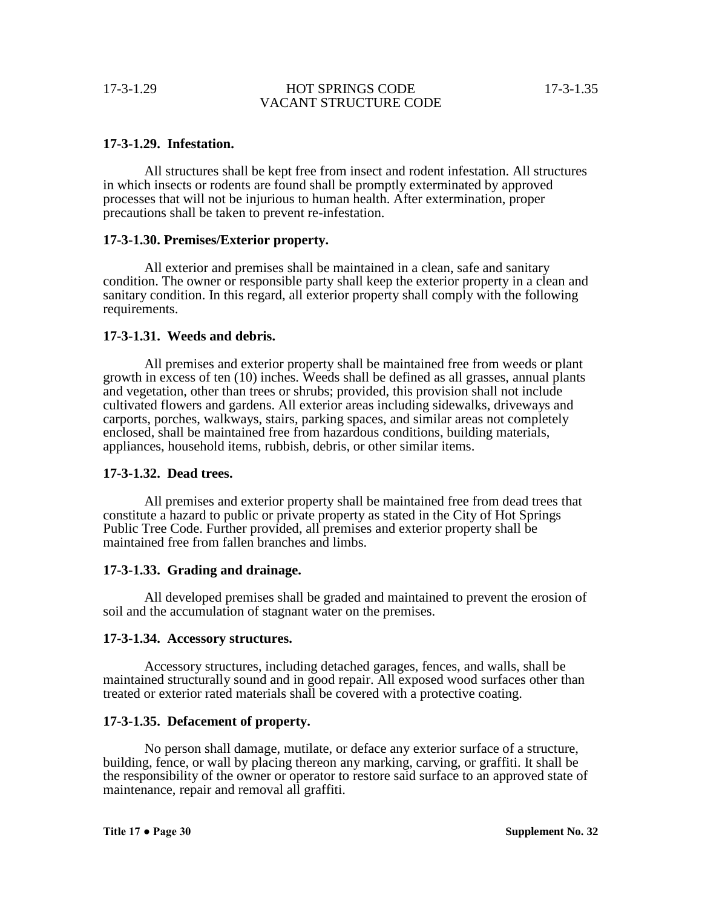#### **17-3-1.29. Infestation.**

All structures shall be kept free from insect and rodent infestation. All structures in which insects or rodents are found shall be promptly exterminated by approved processes that will not be injurious to human health. After extermination, proper precautions shall be taken to prevent re-infestation.

#### **17-3-1.30. Premises/Exterior property.**

All exterior and premises shall be maintained in a clean, safe and sanitary condition. The owner or responsible party shall keep the exterior property in a clean and sanitary condition. In this regard, all exterior property shall comply with the following requirements.

#### **17-3-1.31. Weeds and debris.**

All premises and exterior property shall be maintained free from weeds or plant growth in excess of ten (10) inches. Weeds shall be defined as all grasses, annual plants and vegetation, other than trees or shrubs; provided, this provision shall not include cultivated flowers and gardens. All exterior areas including sidewalks, driveways and carports, porches, walkways, stairs, parking spaces, and similar areas not completely enclosed, shall be maintained free from hazardous conditions, building materials, appliances, household items, rubbish, debris, or other similar items.

#### **17-3-1.32. Dead trees.**

All premises and exterior property shall be maintained free from dead trees that constitute a hazard to public or private property as stated in the City of Hot Springs Public Tree Code. Further provided, all premises and exterior property shall be maintained free from fallen branches and limbs.

#### **17-3-1.33. Grading and drainage.**

All developed premises shall be graded and maintained to prevent the erosion of soil and the accumulation of stagnant water on the premises.

#### **17-3-1.34. Accessory structures.**

Accessory structures, including detached garages, fences, and walls, shall be maintained structurally sound and in good repair. All exposed wood surfaces other than treated or exterior rated materials shall be covered with a protective coating.

#### **17-3-1.35. Defacement of property.**

No person shall damage, mutilate, or deface any exterior surface of a structure, building, fence, or wall by placing thereon any marking, carving, or graffiti. It shall be the responsibility of the owner or operator to restore said surface to an approved state of maintenance, repair and removal all graffiti.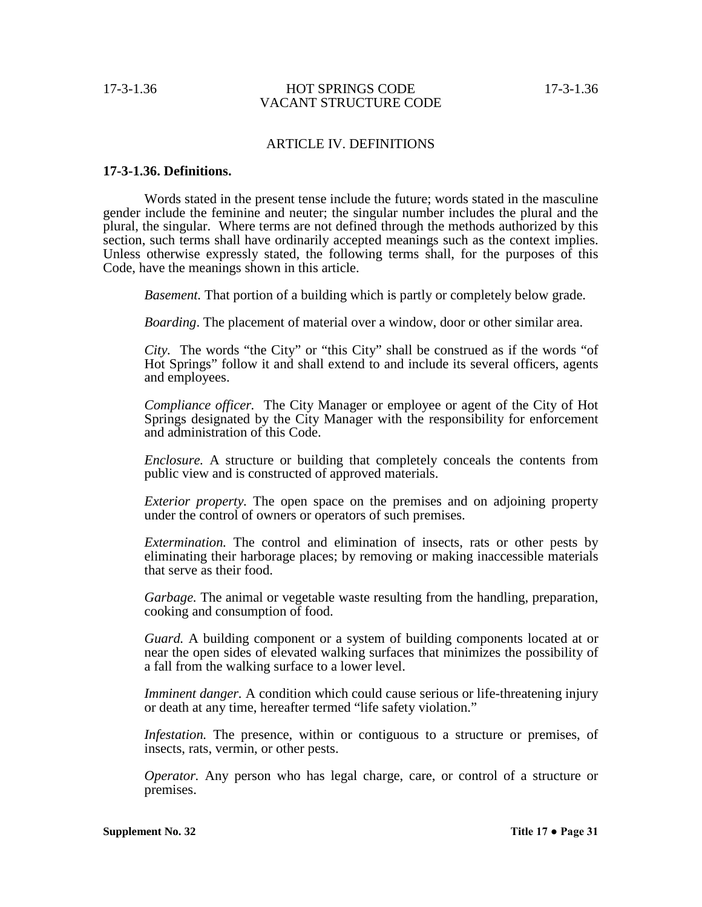#### ARTICLE IV. DEFINITIONS

#### **17-3-1.36. Definitions.**

Words stated in the present tense include the future; words stated in the masculine gender include the feminine and neuter; the singular number includes the plural and the plural, the singular. Where terms are not defined through the methods authorized by this section, such terms shall have ordinarily accepted meanings such as the context implies. Unless otherwise expressly stated, the following terms shall, for the purposes of this Code, have the meanings shown in this article.

*Basement.* That portion of a building which is partly or completely below grade.

*Boarding*. The placement of material over a window, door or other similar area.

*City.* The words "the City" or "this City" shall be construed as if the words "of Hot Springs" follow it and shall extend to and include its several officers, agents and employees.

*Compliance officer.* The City Manager or employee or agent of the City of Hot Springs designated by the City Manager with the responsibility for enforcement and administration of this Code.

*Enclosure.* A structure or building that completely conceals the contents from public view and is constructed of approved materials.

*Exterior property.* The open space on the premises and on adjoining property under the control of owners or operators of such premises.

*Extermination.* The control and elimination of insects, rats or other pests by eliminating their harborage places; by removing or making inaccessible materials that serve as their food.

*Garbage.* The animal or vegetable waste resulting from the handling, preparation, cooking and consumption of food.

*Guard.* A building component or a system of building components located at or near the open sides of elevated walking surfaces that minimizes the possibility of a fall from the walking surface to a lower level.

*Imminent danger.* A condition which could cause serious or life-threatening injury or death at any time, hereafter termed "life safety violation."

*Infestation.* The presence, within or contiguous to a structure or premises, of insects, rats, vermin, or other pests.

*Operator.* Any person who has legal charge, care, or control of a structure or premises.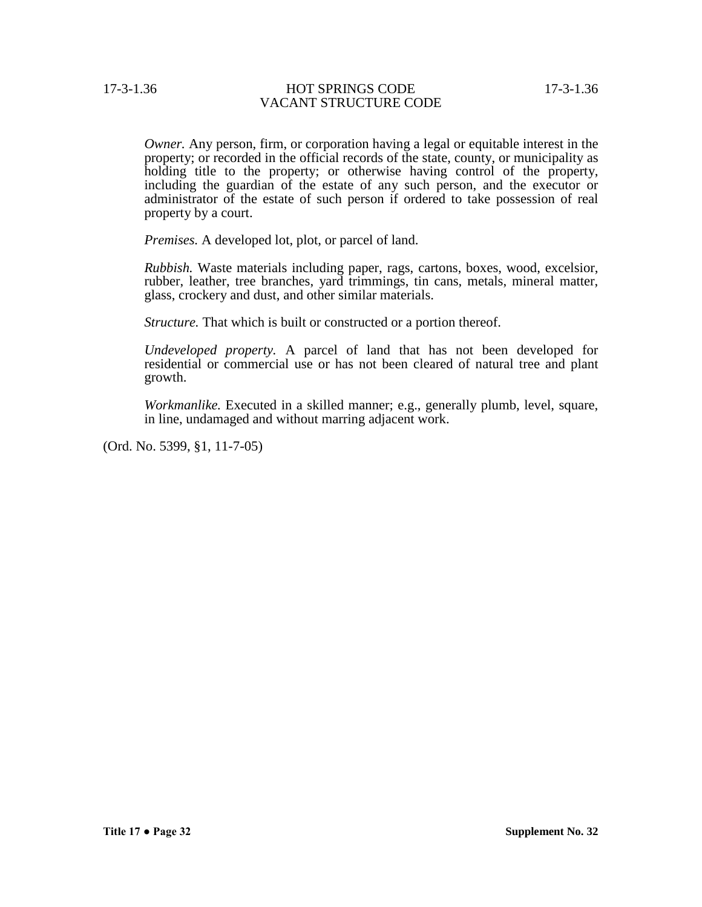#### 17-3-1.36 HOT SPRINGS CODE 17-3-1.36 VACANT STRUCTURE CODE

*Owner.* Any person, firm, or corporation having a legal or equitable interest in the property; or recorded in the official records of the state, county, or municipality as holding title to the property; or otherwise having control of the property, including the guardian of the estate of any such person, and the executor or administrator of the estate of such person if ordered to take possession of real property by a court.

*Premises.* A developed lot, plot, or parcel of land.

*Rubbish.* Waste materials including paper, rags, cartons, boxes, wood, excelsior, rubber, leather, tree branches, yard trimmings, tin cans, metals, mineral matter, glass, crockery and dust, and other similar materials.

*Structure.* That which is built or constructed or a portion thereof.

*Undeveloped property.* A parcel of land that has not been developed for residential or commercial use or has not been cleared of natural tree and plant growth.

*Workmanlike.* Executed in a skilled manner; e.g., generally plumb, level, square, in line, undamaged and without marring adjacent work.

(Ord. No. 5399, §1, 11-7-05)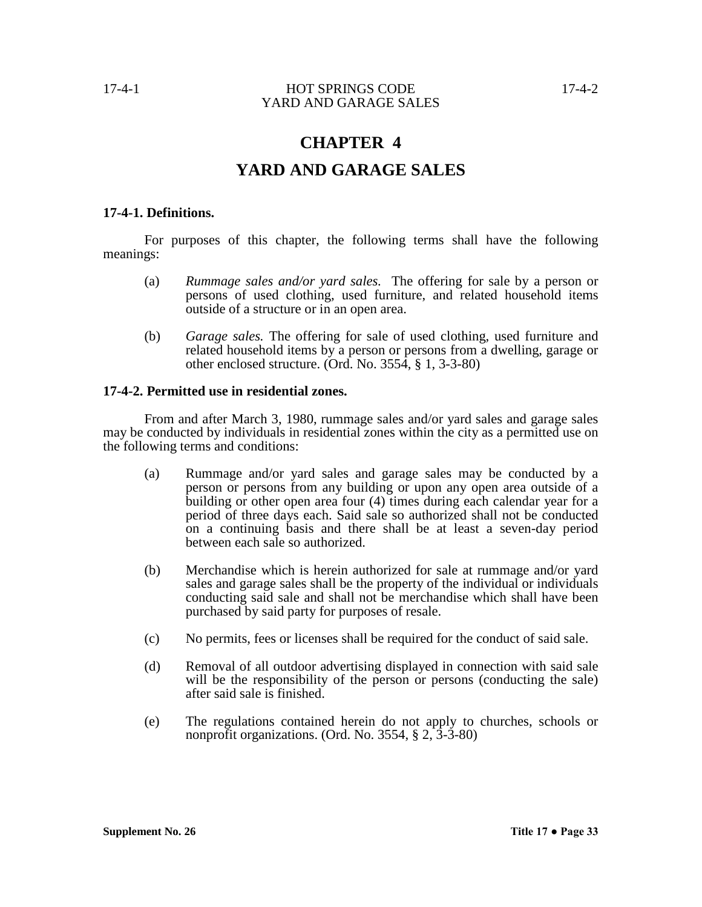### **CHAPTER 4**

# **YARD AND GARAGE SALES**

#### <span id="page-35-0"></span>**17-4-1. Definitions.**

For purposes of this chapter, the following terms shall have the following meanings:

- (a) *Rummage sales and/or yard sales.* The offering for sale by a person or persons of used clothing, used furniture, and related household items outside of a structure or in an open area.
- (b) *Garage sales.* The offering for sale of used clothing, used furniture and related household items by a person or persons from a dwelling, garage or other enclosed structure. (Ord. No. 3554, § 1, 3-3-80)

#### **17-4-2. Permitted use in residential zones.**

From and after March 3, 1980, rummage sales and/or yard sales and garage sales may be conducted by individuals in residential zones within the city as a permitted use on the following terms and conditions:

- (a) Rummage and/or yard sales and garage sales may be conducted by a person or persons from any building or upon any open area outside of a building or other open area four (4) times during each calendar year for a period of three days each. Said sale so authorized shall not be conducted on a continuing basis and there shall be at least a seven-day period between each sale so authorized.
- (b) Merchandise which is herein authorized for sale at rummage and/or yard sales and garage sales shall be the property of the individual or individuals conducting said sale and shall not be merchandise which shall have been purchased by said party for purposes of resale.
- (c) No permits, fees or licenses shall be required for the conduct of said sale.
- (d) Removal of all outdoor advertising displayed in connection with said sale will be the responsibility of the person or persons (conducting the sale) after said sale is finished.
- (e) The regulations contained herein do not apply to churches, schools or nonprofit organizations. (Ord. No. 3554, § 2, 3-3-80)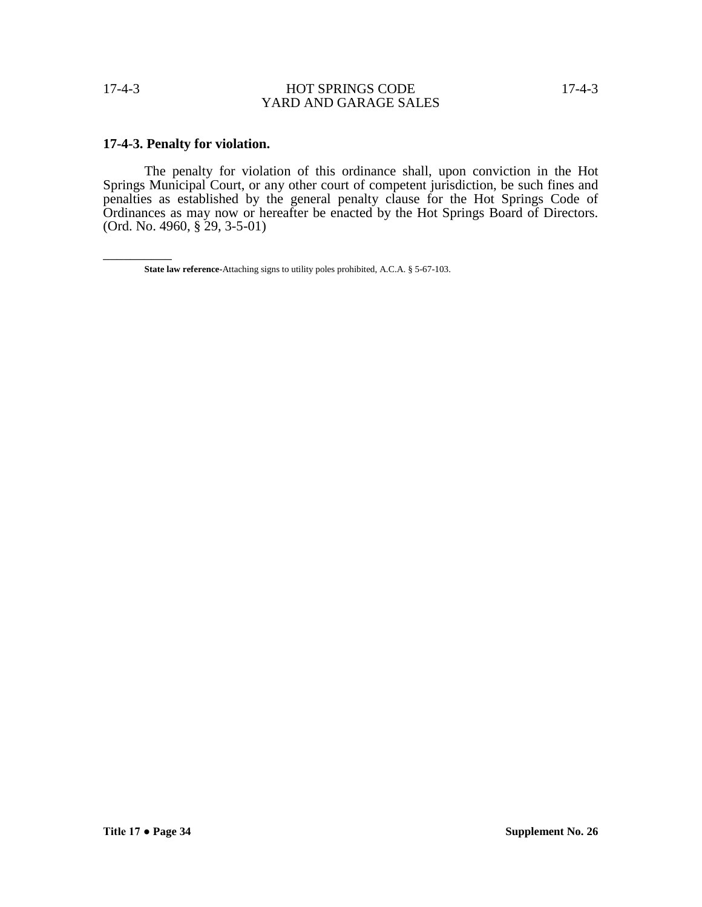\_\_\_\_\_\_\_\_\_\_

#### **17-4-3. Penalty for violation.**

The penalty for violation of this ordinance shall, upon conviction in the Hot Springs Municipal Court, or any other court of competent jurisdiction, be such fines and penalties as established by the general penalty clause for the Hot Springs Code of Ordinances as may now or hereafter be enacted by the Hot Springs Board of Directors. (Ord. No. 4960, § 29, 3-5-01)

**State law reference-**Attaching signs to utility poles prohibited, A.C.A. § 5-67-103.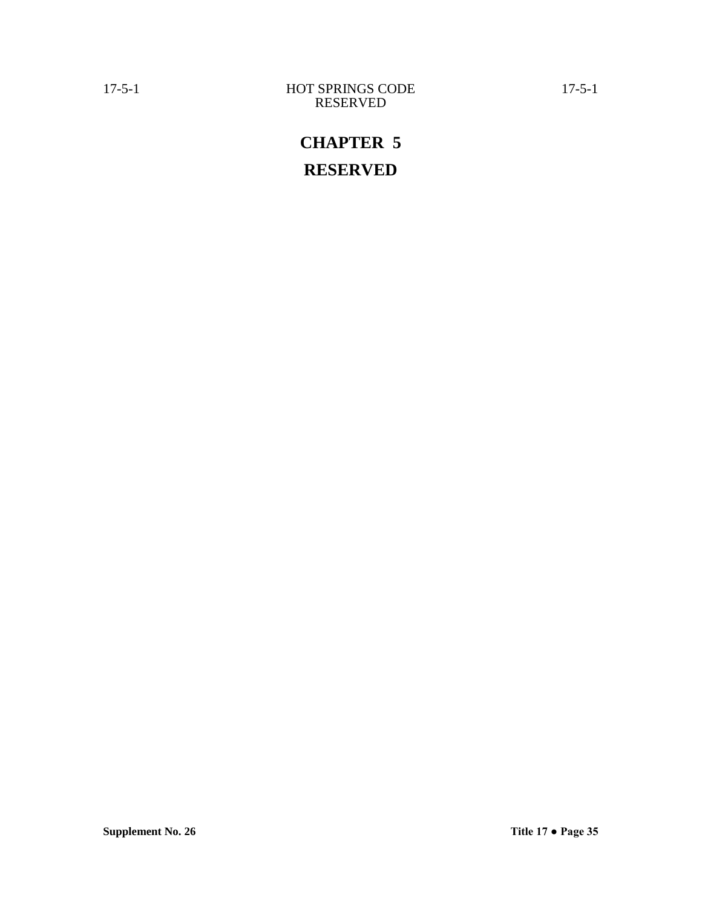# <span id="page-37-0"></span>**CHAPTER 5 RESERVED**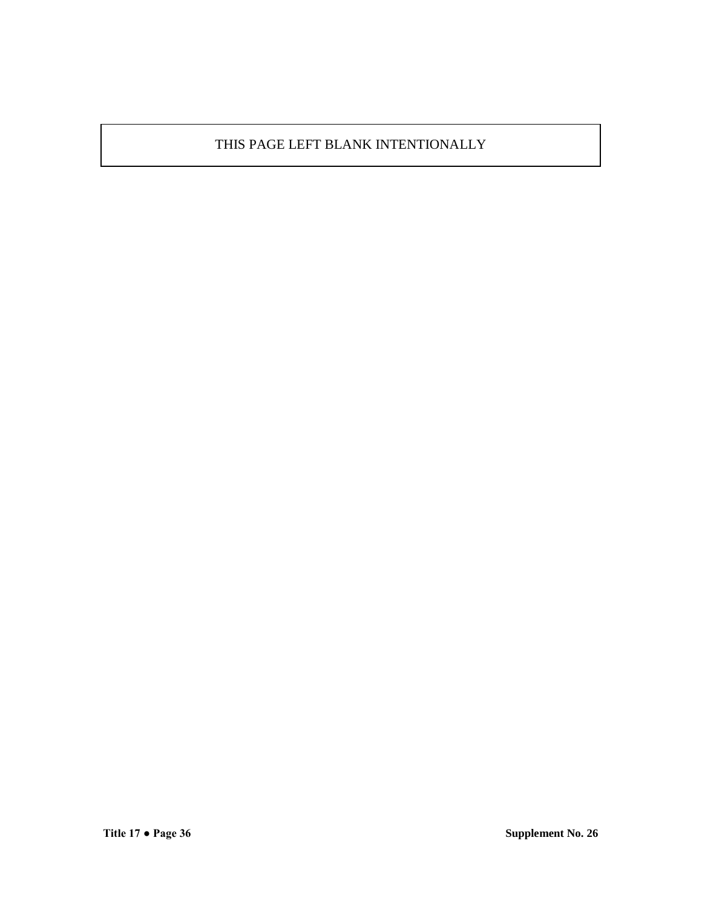# THIS PAGE LEFT BLANK INTENTIONALLY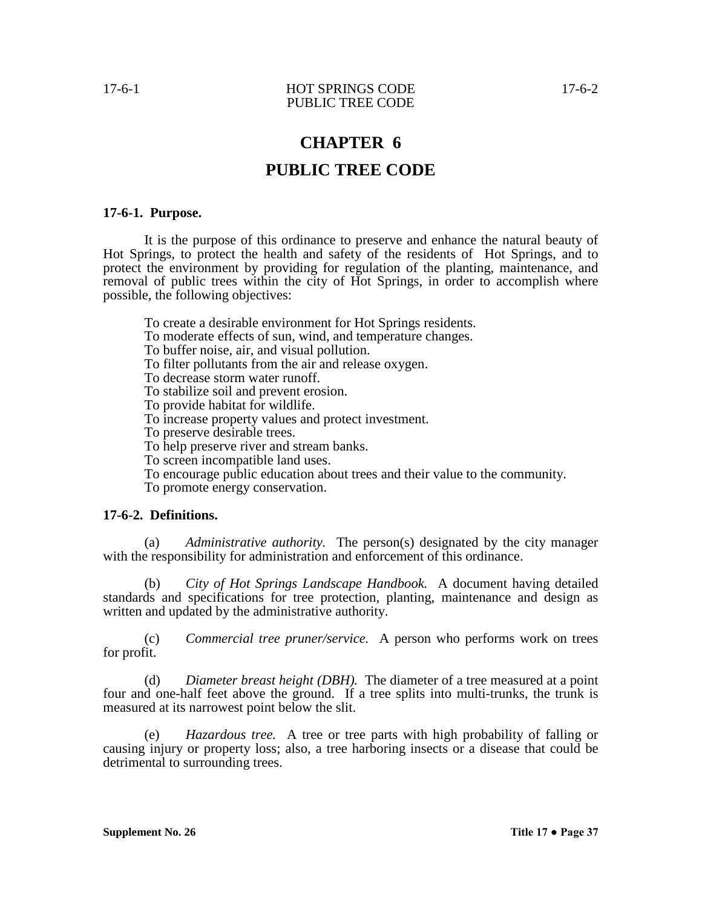# **CHAPTER 6**

# **PUBLIC TREE CODE**

#### <span id="page-39-0"></span>**17-6-1. Purpose.**

It is the purpose of this ordinance to preserve and enhance the natural beauty of Hot Springs, to protect the health and safety of the residents of Hot Springs, and to protect the environment by providing for regulation of the planting, maintenance, and removal of public trees within the city of Hot Springs, in order to accomplish where possible, the following objectives:

To create a desirable environment for Hot Springs residents.

To moderate effects of sun, wind, and temperature changes.

To buffer noise, air, and visual pollution.

To filter pollutants from the air and release oxygen.

To decrease storm water runoff.

To stabilize soil and prevent erosion.

To provide habitat for wildlife.

To increase property values and protect investment.

To preserve desirable trees.

To help preserve river and stream banks.

To screen incompatible land uses.

To encourage public education about trees and their value to the community.

To promote energy conservation.

#### **17-6-2. Definitions.**

(a) *Administrative authority.*The person(s) designated by the city manager with the responsibility for administration and enforcement of this ordinance.

(b) *City of Hot Springs Landscape Handbook.* A document having detailed standards and specifications for tree protection, planting, maintenance and design as written and updated by the administrative authority.

(c) *Commercial tree pruner/service.* A person who performs work on trees for profit.

(d) *Diameter breast height (DBH).* The diameter of a tree measured at a point four and one-half feet above the ground. If a tree splits into multi-trunks, the trunk is measured at its narrowest point below the slit.

(e) *Hazardous tree.* A tree or tree parts with high probability of falling or causing injury or property loss; also, a tree harboring insects or a disease that could be detrimental to surrounding trees.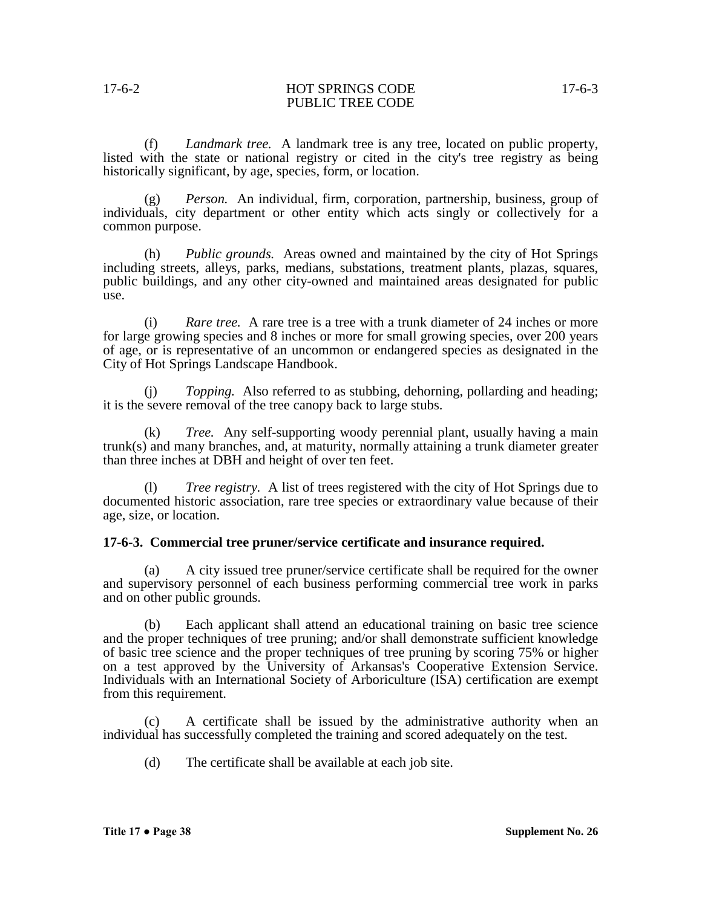(f) *Landmark tree.* A landmark tree is any tree, located on public property, listed with the state or national registry or cited in the city's tree registry as being historically significant, by age, species, form, or location.

(g) *Person.* An individual, firm, corporation, partnership, business, group of individuals, city department or other entity which acts singly or collectively for a common purpose.

(h) *Public grounds.* Areas owned and maintained by the city of Hot Springs including streets, alleys, parks, medians, substations, treatment plants, plazas, squares, public buildings, and any other city-owned and maintained areas designated for public use.

(i) *Rare tree.*A rare tree is a tree with a trunk diameter of 24 inches or more for large growing species and 8 inches or more for small growing species, over 200 years of age, or is representative of an uncommon or endangered species as designated in the City of Hot Springs Landscape Handbook.

(j) *Topping.* Also referred to as stubbing, dehorning, pollarding and heading; it is the severe removal of the tree canopy back to large stubs.

(k) *Tree.*Any self-supporting woody perennial plant, usually having a main trunk(s) and many branches, and, at maturity, normally attaining a trunk diameter greater than three inches at DBH and height of over ten feet.

(l) *Tree registry.* A list of trees registered with the city of Hot Springs due to documented historic association, rare tree species or extraordinary value because of their age, size, or location.

#### **17-6-3. Commercial tree pruner/service certificate and insurance required.**

(a) A city issued tree pruner/service certificate shall be required for the owner and supervisory personnel of each business performing commercial tree work in parks and on other public grounds.

Each applicant shall attend an educational training on basic tree science and the proper techniques of tree pruning; and/or shall demonstrate sufficient knowledge of basic tree science and the proper techniques of tree pruning by scoring 75% or higher on a test approved by the University of Arkansas's Cooperative Extension Service. Individuals with an International Society of Arboriculture (ISA) certification are exempt from this requirement.

A certificate shall be issued by the administrative authority when an individual has successfully completed the training and scored adequately on the test.

(d) The certificate shall be available at each job site.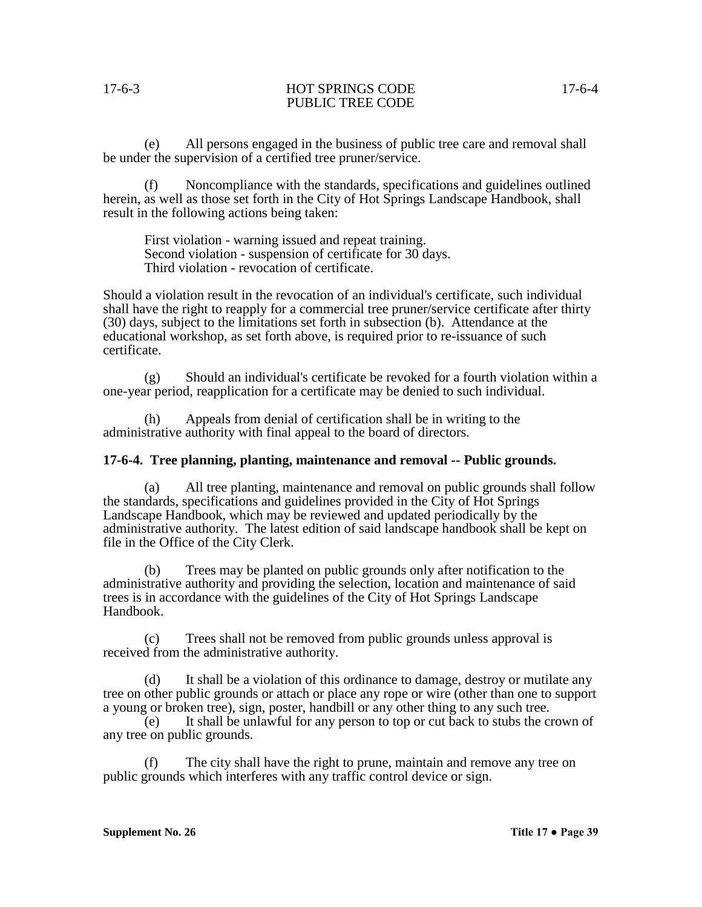(e) All persons engaged in the business of public tree care and removal shall be under the supervision of a certified tree pruner/service.

(f) Noncompliance with the standards, specifications and guidelines outlined herein, as well as those set forth in the City of Hot Springs Landscape Handbook, shall result in the following actions being taken:

First violation - warning issued and repeat training. Second violation - suspension of certificate for 30 days. Third violation - revocation of certificate.

Should a violation result in the revocation of an individual's certificate, such individual shall have the right to reapply for a commercial tree pruner/service certificate after thirty (30) days, subject to the limitations set forth in subsection (b). Attendance at the educational workshop, as set forth above, is required prior to re-issuance of such certificate.

(g) Should an individual's certificate be revoked for a fourth violation within a one-year period, reapplication for a certificate may be denied to such individual.

(h) Appeals from denial of certification shall be in writing to the administrative authority with final appeal to the board of directors.

#### **17-6-4. Tree planning, planting, maintenance and removal -- Public grounds.**

(a) All tree planting, maintenance and removal on public grounds shall follow the standards, specifications and guidelines provided in the City of Hot Springs Landscape Handbook, which may be reviewed and updated periodically by the administrative authority. The latest edition of said landscape handbook shall be kept on file in the Office of the City Clerk.

(b) Trees may be planted on public grounds only after notification to the administrative authority and providing the selection, location and maintenance of said trees is in accordance with the guidelines of the City of Hot Springs Landscape Handbook.

(c) Trees shall not be removed from public grounds unless approval is received from the administrative authority.

(d) It shall be a violation of this ordinance to damage, destroy or mutilate any tree on other public grounds or attach or place any rope or wire (other than one to support a young or broken tree), sign, poster, handbill or any other thing to any such tree.

(e) It shall be unlawful for any person to top or cut back to stubs the crown of any tree on public grounds.

(f) The city shall have the right to prune, maintain and remove any tree on public grounds which interferes with any traffic control device or sign.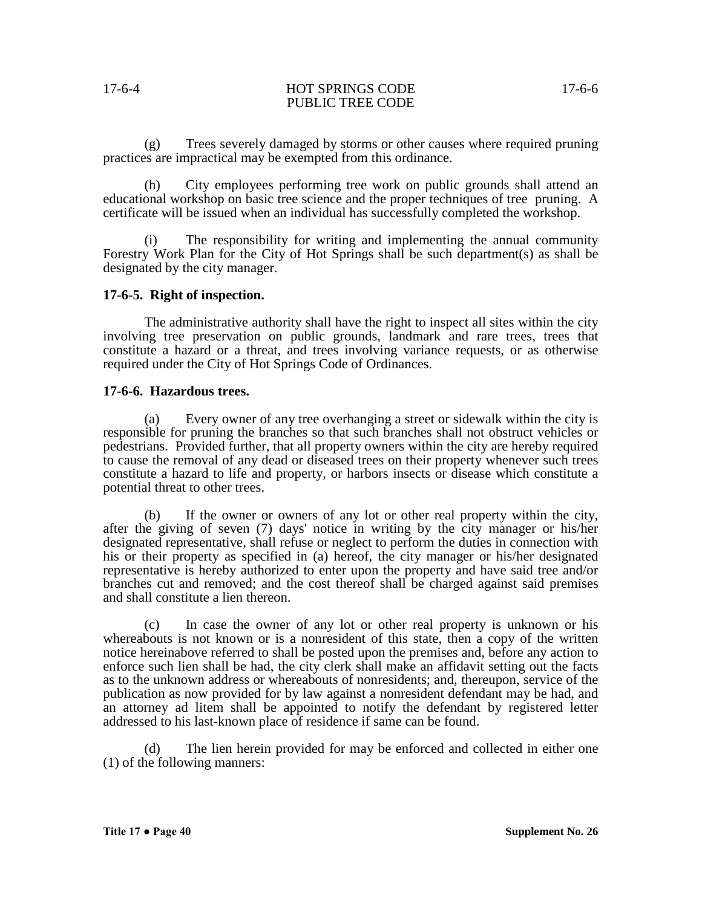(g) Trees severely damaged by storms or other causes where required pruning practices are impractical may be exempted from this ordinance.

(h) City employees performing tree work on public grounds shall attend an educational workshop on basic tree science and the proper techniques of tree pruning. A certificate will be issued when an individual has successfully completed the workshop.

(i) The responsibility for writing and implementing the annual community Forestry Work Plan for the City of Hot Springs shall be such department(s) as shall be designated by the city manager.

#### **17-6-5. Right of inspection.**

The administrative authority shall have the right to inspect all sites within the city involving tree preservation on public grounds, landmark and rare trees, trees that constitute a hazard or a threat, and trees involving variance requests, or as otherwise required under the City of Hot Springs Code of Ordinances.

#### **17-6-6. Hazardous trees.**

(a) Every owner of any tree overhanging a street or sidewalk within the city is responsible for pruning the branches so that such branches shall not obstruct vehicles or pedestrians. Provided further, that all property owners within the city are hereby required to cause the removal of any dead or diseased trees on their property whenever such trees constitute a hazard to life and property, or harbors insects or disease which constitute a potential threat to other trees.

(b) If the owner or owners of any lot or other real property within the city, after the giving of seven (7) days' notice in writing by the city manager or his/her designated representative, shall refuse or neglect to perform the duties in connection with his or their property as specified in (a) hereof, the city manager or his/her designated representative is hereby authorized to enter upon the property and have said tree and/or branches cut and removed; and the cost thereof shall be charged against said premises and shall constitute a lien thereon.

(c) In case the owner of any lot or other real property is unknown or his whereabouts is not known or is a nonresident of this state, then a copy of the written notice hereinabove referred to shall be posted upon the premises and, before any action to enforce such lien shall be had, the city clerk shall make an affidavit setting out the facts as to the unknown address or whereabouts of nonresidents; and, thereupon, service of the publication as now provided for by law against a nonresident defendant may be had, and an attorney ad litem shall be appointed to notify the defendant by registered letter addressed to his last-known place of residence if same can be found.

(d) The lien herein provided for may be enforced and collected in either one (1) of the following manners: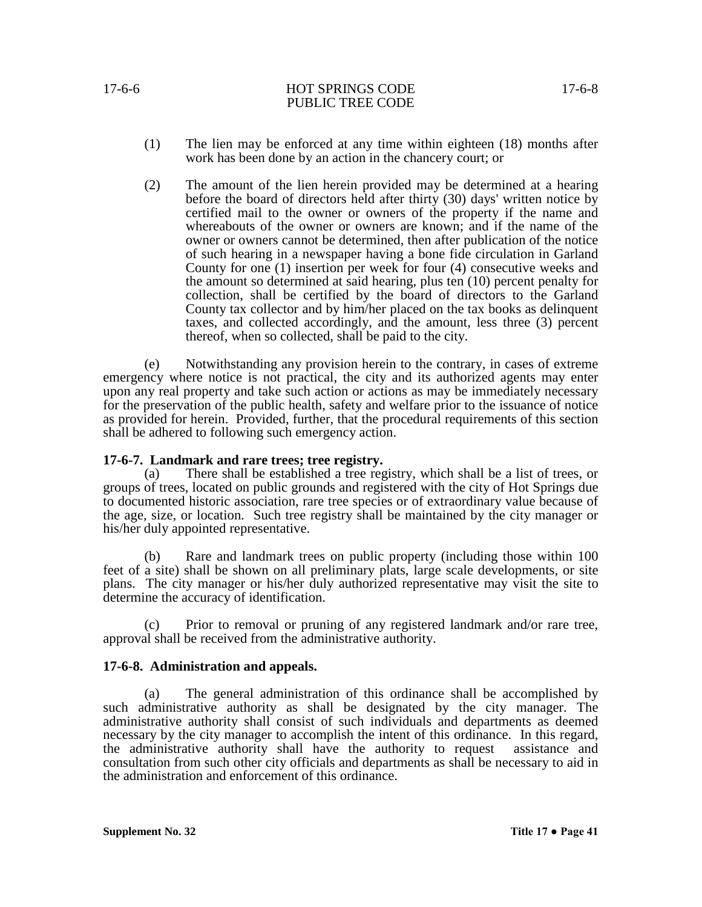- 
- (1) The lien may be enforced at any time within eighteen (18) months after work has been done by an action in the chancery court; or
- (2) The amount of the lien herein provided may be determined at a hearing before the board of directors held after thirty (30) days' written notice by certified mail to the owner or owners of the property if the name and whereabouts of the owner or owners are known; and if the name of the owner or owners cannot be determined, then after publication of the notice of such hearing in a newspaper having a bone fide circulation in Garland County for one (1) insertion per week for four (4) consecutive weeks and the amount so determined at said hearing, plus ten (10) percent penalty for collection, shall be certified by the board of directors to the Garland County tax collector and by him/her placed on the tax books as delinquent taxes, and collected accordingly, and the amount, less three (3) percent thereof, when so collected, shall be paid to the city.

(e) Notwithstanding any provision herein to the contrary, in cases of extreme emergency where notice is not practical, the city and its authorized agents may enter upon any real property and take such action or actions as may be immediately necessary for the preservation of the public health, safety and welfare prior to the issuance of notice as provided for herein. Provided, further, that the procedural requirements of this section shall be adhered to following such emergency action.

#### **17-6-7. Landmark and rare trees; tree registry.**

(a) There shall be established a tree registry, which shall be a list of trees, or groups of trees, located on public grounds and registered with the city of Hot Springs due to documented historic association, rare tree species or of extraordinary value because of the age, size, or location. Such tree registry shall be maintained by the city manager or his/her duly appointed representative.

(b) Rare and landmark trees on public property (including those within 100 feet of a site) shall be shown on all preliminary plats, large scale developments, or site plans. The city manager or his/her duly authorized representative may visit the site to determine the accuracy of identification.

Prior to removal or pruning of any registered landmark and/or rare tree, approval shall be received from the administrative authority.

#### **17-6-8. Administration and appeals.**

(a) The general administration of this ordinance shall be accomplished by such administrative authority as shall be designated by the city manager. The administrative authority shall consist of such individuals and departments as deemed necessary by the city manager to accomplish the intent of this ordinance. In this regard, the administrative authority shall have the authority to request assistance and consultation from such other city officials and departments as shall be necessary to aid in the administration and enforcement of this ordinance.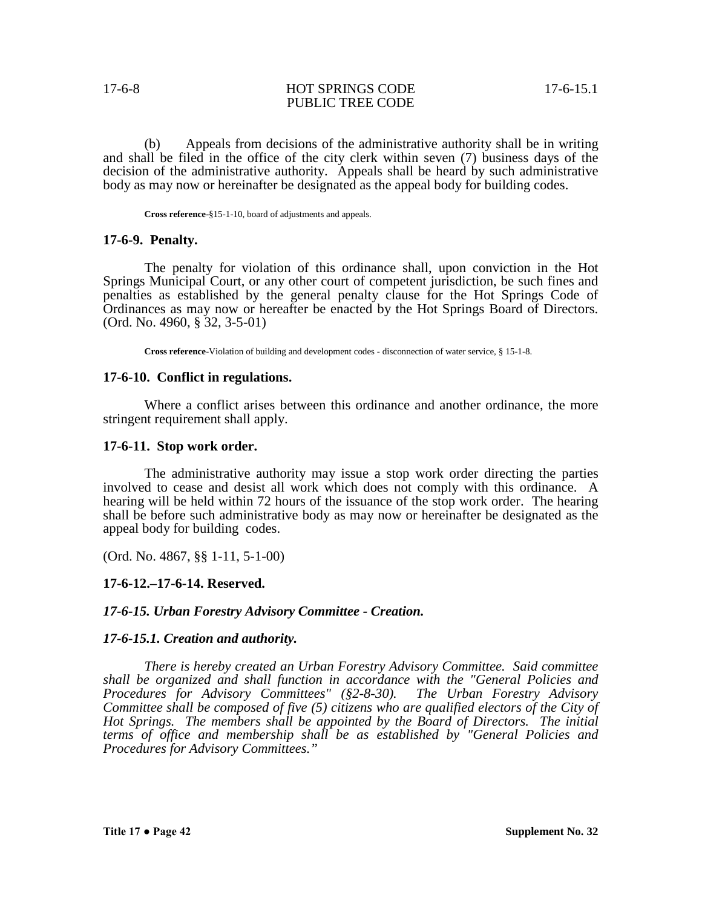#### 17-6-8 HOT SPRINGS CODE 17-6-15.1 PUBLIC TREE CODE

(b) Appeals from decisions of the administrative authority shall be in writing and shall be filed in the office of the city clerk within seven (7) business days of the decision of the administrative authority. Appeals shall be heard by such administrative body as may now or hereinafter be designated as the appeal body for building codes.

**Cross reference-**§15-1-10, board of adjustments and appeals.

#### **17-6-9. Penalty.**

The penalty for violation of this ordinance shall, upon conviction in the Hot Springs Municipal Court, or any other court of competent jurisdiction, be such fines and penalties as established by the general penalty clause for the Hot Springs Code of Ordinances as may now or hereafter be enacted by the Hot Springs Board of Directors. (Ord. No. 4960, § 32, 3-5-01)

**Cross reference**-Violation of building and development codes - disconnection of water service, § 15-1-8.

#### **17-6-10. Conflict in regulations.**

Where a conflict arises between this ordinance and another ordinance, the more stringent requirement shall apply.

#### **17-6-11. Stop work order.**

The administrative authority may issue a stop work order directing the parties involved to cease and desist all work which does not comply with this ordinance. A hearing will be held within 72 hours of the issuance of the stop work order. The hearing shall be before such administrative body as may now or hereinafter be designated as the appeal body for building codes.

(Ord. No. 4867, §§ 1-11, 5-1-00)

#### **17-6-12.–17-6-14. Reserved.**

#### *17-6-15. Urban Forestry Advisory Committee - Creation.*

#### *17-6-15.1. Creation and authority.*

*There is hereby created an Urban Forestry Advisory Committee. Said committee shall be organized and shall function in accordance with the "General Policies and Procedures for Advisory Committees" (§2-8-30). The Urban Forestry Advisory Committee shall be composed of five (5) citizens who are qualified electors of the City of Hot Springs. The members shall be appointed by the Board of Directors. The initial terms of office and membership shall be as established by "General Policies and Procedures for Advisory Committees."*